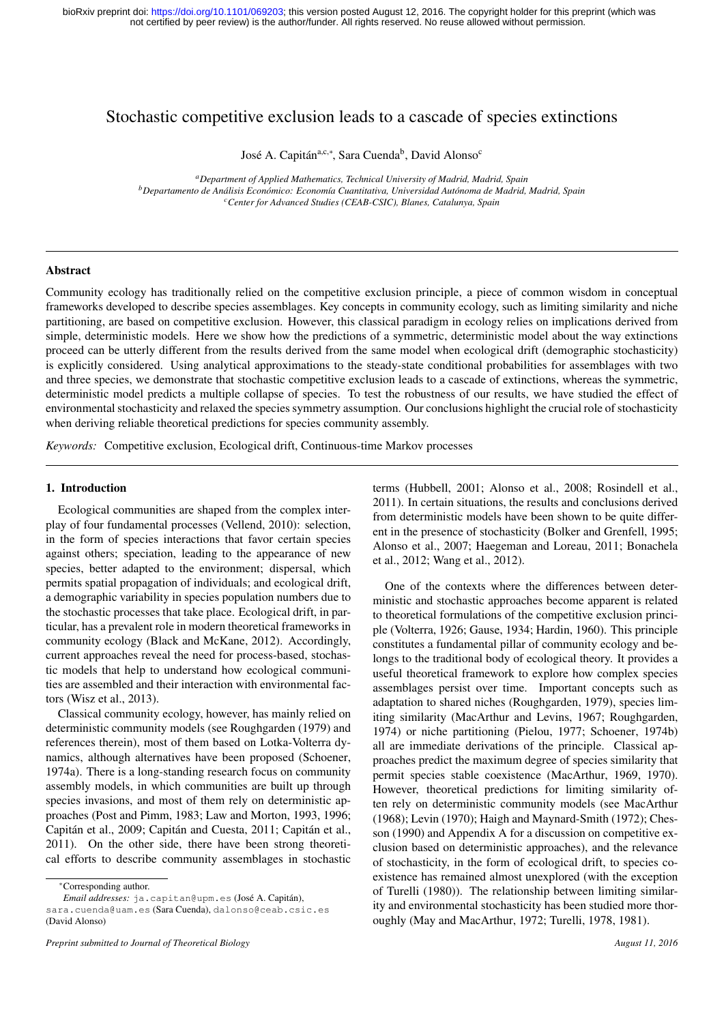# Stochastic competitive exclusion leads to a cascade of species extinctions

José A. Capitán<sup>a,c,∗</sup>, Sara Cuenda<sup>b</sup>, David Alonso<sup>c</sup>

*<sup>a</sup>Department of Applied Mathematics, Technical University of Madrid, Madrid, Spain <sup>b</sup>Departamento de Analisis Econ ´ omico: Econom ´ ´ıa Cuantitativa, Universidad Autonoma de Madrid, Madrid, Spain ´ <sup>c</sup>Center for Advanced Studies (CEAB-CSIC), Blanes, Catalunya, Spain*

### Abstract

Community ecology has traditionally relied on the competitive exclusion principle, a piece of common wisdom in conceptual frameworks developed to describe species assemblages. Key concepts in community ecology, such as limiting similarity and niche partitioning, are based on competitive exclusion. However, this classical paradigm in ecology relies on implications derived from simple, deterministic models. Here we show how the predictions of a symmetric, deterministic model about the way extinctions proceed can be utterly different from the results derived from the same model when ecological drift (demographic stochasticity) is explicitly considered. Using analytical approximations to the steady-state conditional probabilities for assemblages with two and three species, we demonstrate that stochastic competitive exclusion leads to a cascade of extinctions, whereas the symmetric, deterministic model predicts a multiple collapse of species. To test the robustness of our results, we have studied the effect of environmental stochasticity and relaxed the species symmetry assumption. Our conclusions highlight the crucial role of stochasticity when deriving reliable theoretical predictions for species community assembly.

*Keywords:* Competitive exclusion, Ecological drift, Continuous-time Markov processes

## 1. Introduction

Ecological communities are shaped from the complex interplay of four fundamental processes (Vellend, 2010): selection, in the form of species interactions that favor certain species against others; speciation, leading to the appearance of new species, better adapted to the environment; dispersal, which permits spatial propagation of individuals; and ecological drift, a demographic variability in species population numbers due to the stochastic processes that take place. Ecological drift, in particular, has a prevalent role in modern theoretical frameworks in community ecology (Black and McKane, 2012). Accordingly, current approaches reveal the need for process-based, stochastic models that help to understand how ecological communities are assembled and their interaction with environmental factors (Wisz et al., 2013).

Classical community ecology, however, has mainly relied on deterministic community models (see Roughgarden (1979) and references therein), most of them based on Lotka-Volterra dynamics, although alternatives have been proposed (Schoener, 1974a). There is a long-standing research focus on community assembly models, in which communities are built up through species invasions, and most of them rely on deterministic approaches (Post and Pimm, 1983; Law and Morton, 1993, 1996; Capitán et al., 2009; Capitán and Cuesta, 2011; Capitán et al., 2011). On the other side, there have been strong theoretical efforts to describe community assemblages in stochastic

*Preprint submitted to Journal of Theoretical Biology August 11, 2016*

terms (Hubbell, 2001; Alonso et al., 2008; Rosindell et al., 2011). In certain situations, the results and conclusions derived from deterministic models have been shown to be quite different in the presence of stochasticity (Bolker and Grenfell, 1995; Alonso et al., 2007; Haegeman and Loreau, 2011; Bonachela et al., 2012; Wang et al., 2012).

One of the contexts where the differences between deterministic and stochastic approaches become apparent is related to theoretical formulations of the competitive exclusion principle (Volterra, 1926; Gause, 1934; Hardin, 1960). This principle constitutes a fundamental pillar of community ecology and belongs to the traditional body of ecological theory. It provides a useful theoretical framework to explore how complex species assemblages persist over time. Important concepts such as adaptation to shared niches (Roughgarden, 1979), species limiting similarity (MacArthur and Levins, 1967; Roughgarden, 1974) or niche partitioning (Pielou, 1977; Schoener, 1974b) all are immediate derivations of the principle. Classical approaches predict the maximum degree of species similarity that permit species stable coexistence (MacArthur, 1969, 1970). However, theoretical predictions for limiting similarity often rely on deterministic community models (see MacArthur (1968); Levin (1970); Haigh and Maynard-Smith (1972); Chesson (1990) and Appendix A for a discussion on competitive exclusion based on deterministic approaches), and the relevance of stochasticity, in the form of ecological drift, to species coexistence has remained almost unexplored (with the exception of Turelli (1980)). The relationship between limiting similarity and environmental stochasticity has been studied more thoroughly (May and MacArthur, 1972; Turelli, 1978, 1981).

<sup>∗</sup>Corresponding author.

*Email addresses:* ja.capitan@upm.es (José A. Capitán), sara.cuenda@uam.es (Sara Cuenda), dalonso@ceab.csic.es (David Alonso)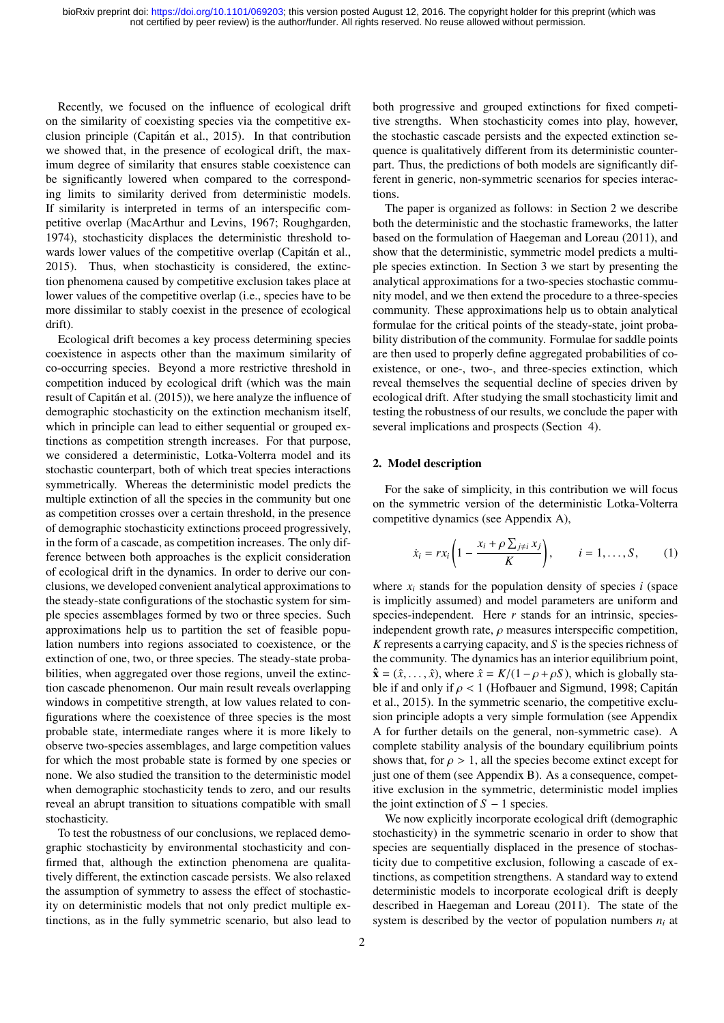Recently, we focused on the influence of ecological drift on the similarity of coexisting species via the competitive exclusion principle (Capitan et al., 2015). In that contribution ´ we showed that, in the presence of ecological drift, the maximum degree of similarity that ensures stable coexistence can be significantly lowered when compared to the corresponding limits to similarity derived from deterministic models. If similarity is interpreted in terms of an interspecific competitive overlap (MacArthur and Levins, 1967; Roughgarden, 1974), stochasticity displaces the deterministic threshold towards lower values of the competitive overlap (Capitán et al., 2015). Thus, when stochasticity is considered, the extinction phenomena caused by competitive exclusion takes place at lower values of the competitive overlap (i.e., species have to be more dissimilar to stably coexist in the presence of ecological drift).

Ecological drift becomes a key process determining species coexistence in aspects other than the maximum similarity of co-occurring species. Beyond a more restrictive threshold in competition induced by ecological drift (which was the main result of Capitán et al. (2015)), we here analyze the influence of demographic stochasticity on the extinction mechanism itself, which in principle can lead to either sequential or grouped extinctions as competition strength increases. For that purpose, we considered a deterministic, Lotka-Volterra model and its stochastic counterpart, both of which treat species interactions symmetrically. Whereas the deterministic model predicts the multiple extinction of all the species in the community but one as competition crosses over a certain threshold, in the presence of demographic stochasticity extinctions proceed progressively, in the form of a cascade, as competition increases. The only difference between both approaches is the explicit consideration of ecological drift in the dynamics. In order to derive our conclusions, we developed convenient analytical approximations to the steady-state configurations of the stochastic system for simple species assemblages formed by two or three species. Such approximations help us to partition the set of feasible population numbers into regions associated to coexistence, or the extinction of one, two, or three species. The steady-state probabilities, when aggregated over those regions, unveil the extinction cascade phenomenon. Our main result reveals overlapping windows in competitive strength, at low values related to configurations where the coexistence of three species is the most probable state, intermediate ranges where it is more likely to observe two-species assemblages, and large competition values for which the most probable state is formed by one species or none. We also studied the transition to the deterministic model when demographic stochasticity tends to zero, and our results reveal an abrupt transition to situations compatible with small stochasticity.

To test the robustness of our conclusions, we replaced demographic stochasticity by environmental stochasticity and confirmed that, although the extinction phenomena are qualitatively different, the extinction cascade persists. We also relaxed the assumption of symmetry to assess the effect of stochasticity on deterministic models that not only predict multiple extinctions, as in the fully symmetric scenario, but also lead to

both progressive and grouped extinctions for fixed competitive strengths. When stochasticity comes into play, however, the stochastic cascade persists and the expected extinction sequence is qualitatively different from its deterministic counterpart. Thus, the predictions of both models are significantly different in generic, non-symmetric scenarios for species interactions.

The paper is organized as follows: in Section 2 we describe both the deterministic and the stochastic frameworks, the latter based on the formulation of Haegeman and Loreau (2011), and show that the deterministic, symmetric model predicts a multiple species extinction. In Section 3 we start by presenting the analytical approximations for a two-species stochastic community model, and we then extend the procedure to a three-species community. These approximations help us to obtain analytical formulae for the critical points of the steady-state, joint probability distribution of the community. Formulae for saddle points are then used to properly define aggregated probabilities of coexistence, or one-, two-, and three-species extinction, which reveal themselves the sequential decline of species driven by ecological drift. After studying the small stochasticity limit and testing the robustness of our results, we conclude the paper with several implications and prospects (Section 4).

### 2. Model description

For the sake of simplicity, in this contribution we will focus on the symmetric version of the deterministic Lotka-Volterra competitive dynamics (see Appendix A),

$$
\dot{x}_i = rx_i \left(1 - \frac{x_i + \rho \sum_{j \neq i} x_j}{K}\right), \qquad i = 1, \dots, S, \tag{1}
$$

where  $x_i$  stands for the population density of species *i* (space is implicitly assumed) and model parameters are uniform and species-independent. Here *r* stands for an intrinsic, speciesindependent growth rate,  $\rho$  measures interspecific competition, *K* represents a carrying capacity, and *S* is the species richness of the community. The dynamics has an interior equilibrium point,  $\hat{\mathbf{x}} = (\hat{x}, \dots, \hat{x})$ , where  $\hat{x} = K/(1 - \rho + \rho S)$ , which is globally stable if and only if  $\rho < 1$  (Hofbauer and Sigmund, 1998; Capitán et al., 2015). In the symmetric scenario, the competitive exclusion principle adopts a very simple formulation (see Appendix A for further details on the general, non-symmetric case). A complete stability analysis of the boundary equilibrium points shows that, for  $\rho > 1$ , all the species become extinct except for just one of them (see Appendix B). As a consequence, competitive exclusion in the symmetric, deterministic model implies the joint extinction of  $S - 1$  species.

We now explicitly incorporate ecological drift (demographic stochasticity) in the symmetric scenario in order to show that species are sequentially displaced in the presence of stochasticity due to competitive exclusion, following a cascade of extinctions, as competition strengthens. A standard way to extend deterministic models to incorporate ecological drift is deeply described in Haegeman and Loreau (2011). The state of the system is described by the vector of population numbers  $n_i$  at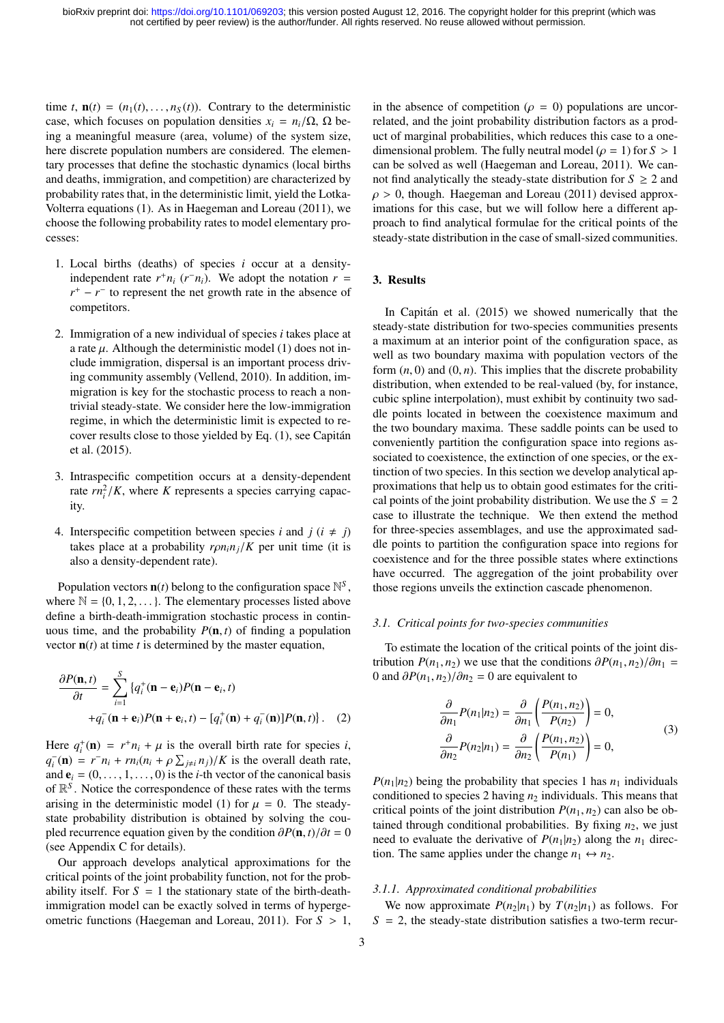time *t*,  $\mathbf{n}(t) = (n_1(t), \ldots, n_s(t))$ . Contrary to the deterministic case, which focuses on population densities  $x_i = n_i/\Omega$ ,  $\Omega$  being a meaningful measure (area, volume) of the system size, here discrete population numbers are considered. The elementary processes that define the stochastic dynamics (local births and deaths, immigration, and competition) are characterized by probability rates that, in the deterministic limit, yield the Lotka-Volterra equations (1). As in Haegeman and Loreau (2011), we choose the following probability rates to model elementary processes:

- 1. Local births (deaths) of species *i* occur at a densityindependent rate  $r^+n_i$  ( $r^-n_i$ ). We adopt the notation  $r =$  $r^+ - r^-$  to represent the net growth rate in the absence of competitors.
- 2. Immigration of a new individual of species *i* takes place at a rate  $\mu$ . Although the deterministic model (1) does not include immigration, dispersal is an important process driving community assembly (Vellend, 2010). In addition, immigration is key for the stochastic process to reach a nontrivial steady-state. We consider here the low-immigration regime, in which the deterministic limit is expected to recover results close to those yielded by Eq. (1), see Capitan´ et al. (2015).
- 3. Intraspecific competition occurs at a density-dependent rate  $rn_i^2/K$ , where *K* represents a species carrying capacity.
- 4. Interspecific competition between species *i* and  $j(i \neq j)$ takes place at a probability  $r\rho n_i n_j/K$  per unit time (it is also a density-dependent rate).

Population vectors  $\mathbf{n}(t)$  belong to the configuration space  $\mathbb{N}^S$ , where  $\mathbb{N} = \{0, 1, 2, \dots\}$ . The elementary processes listed above define a birth-death-immigration stochastic process in continuous time, and the probability  $P(n, t)$  of finding a population vector  $\mathbf{n}(t)$  at time *t* is determined by the master equation,

$$
\frac{\partial P(\mathbf{n},t)}{\partial t} = \sum_{i=1}^{S} \left\{ q_i^+(\mathbf{n} - \mathbf{e}_i) P(\mathbf{n} - \mathbf{e}_i, t) + q_i^-(\mathbf{n} + \mathbf{e}_i) P(\mathbf{n} + \mathbf{e}_i, t) - [q_i^+(\mathbf{n}) + q_i^-(\mathbf{n})] P(\mathbf{n}, t) \right\}.
$$
 (2)

Here  $q_i^+(\mathbf{n}) = r^+n_i + \mu$  is the overall birth rate for species *i*,<br> $q^-(\mathbf{n}) = r^-n_i + rn_i(n_i + q_i)$  is the overall death rate  $q_i^-(\mathbf{n}) = r^- n_i + r n_i (n_i + \rho \sum_{j \neq i} n_j) / K$  is the overall death rate,<br>and  $\mathbf{e}_i = (0, 1, 0)$  is the *i*-th vector of the canonical basis and  $\mathbf{e}_i = (0, \dots, 1, \dots, 0)$  is the *i*-th vector of the canonical basis of  $\mathbb{R}^S$ . Notice the correspondence of these rates with the terms arising in the deterministic model (1) for  $\mu = 0$ . The steadystate probability distribution is obtained by solving the coupled recurrence equation given by the condition  $\partial P(\mathbf{n}, t)/\partial t = 0$ (see Appendix C for details).

Our approach develops analytical approximations for the critical points of the joint probability function, not for the probability itself. For  $S = 1$  the stationary state of the birth-deathimmigration model can be exactly solved in terms of hypergeometric functions (Haegeman and Loreau, 2011). For *<sup>S</sup>* > 1, in the absence of competition ( $\rho = 0$ ) populations are uncorrelated, and the joint probability distribution factors as a product of marginal probabilities, which reduces this case to a onedimensional problem. The fully neutral model ( $\rho = 1$ ) for  $S > 1$ can be solved as well (Haegeman and Loreau, 2011). We cannot find analytically the steady-state distribution for  $S \geq 2$  and  $\rho > 0$ , though. Haegeman and Loreau (2011) devised approximations for this case, but we will follow here a different approach to find analytical formulae for the critical points of the steady-state distribution in the case of small-sized communities.

## 3. Results

In Capitán et al. (2015) we showed numerically that the steady-state distribution for two-species communities presents a maximum at an interior point of the configuration space, as well as two boundary maxima with population vectors of the form  $(n, 0)$  and  $(0, n)$ . This implies that the discrete probability distribution, when extended to be real-valued (by, for instance, cubic spline interpolation), must exhibit by continuity two saddle points located in between the coexistence maximum and the two boundary maxima. These saddle points can be used to conveniently partition the configuration space into regions associated to coexistence, the extinction of one species, or the extinction of two species. In this section we develop analytical approximations that help us to obtain good estimates for the critical points of the joint probability distribution. We use the  $S = 2$ case to illustrate the technique. We then extend the method for three-species assemblages, and use the approximated saddle points to partition the configuration space into regions for coexistence and for the three possible states where extinctions have occurred. The aggregation of the joint probability over those regions unveils the extinction cascade phenomenon.

## *3.1. Critical points for two-species communities*

To estimate the location of the critical points of the joint distribution  $P(n_1, n_2)$  we use that the conditions  $\partial P(n_1, n_2)/\partial n_1$  = 0 and  $\partial P(n_1, n_2)/\partial n_2 = 0$  are equivalent to

$$
\frac{\partial}{\partial n_1} P(n_1|n_2) = \frac{\partial}{\partial n_1} \left( \frac{P(n_1, n_2)}{P(n_2)} \right) = 0,
$$
\n
$$
\frac{\partial}{\partial n_2} P(n_2|n_1) = \frac{\partial}{\partial n_2} \left( \frac{P(n_1, n_2)}{P(n_1)} \right) = 0,
$$
\n(3)

 $P(n_1|n_2)$  being the probability that species 1 has  $n_1$  individuals conditioned to species 2 having  $n_2$  individuals. This means that critical points of the joint distribution  $P(n_1, n_2)$  can also be obtained through conditional probabilities. By fixing  $n_2$ , we just need to evaluate the derivative of  $P(n_1|n_2)$  along the  $n_1$  direction. The same applies under the change  $n_1 \leftrightarrow n_2$ .

#### *3.1.1. Approximated conditional probabilities*

We now approximate  $P(n_2|n_1)$  by  $T(n_2|n_1)$  as follows. For  $S = 2$ , the steady-state distribution satisfies a two-term recur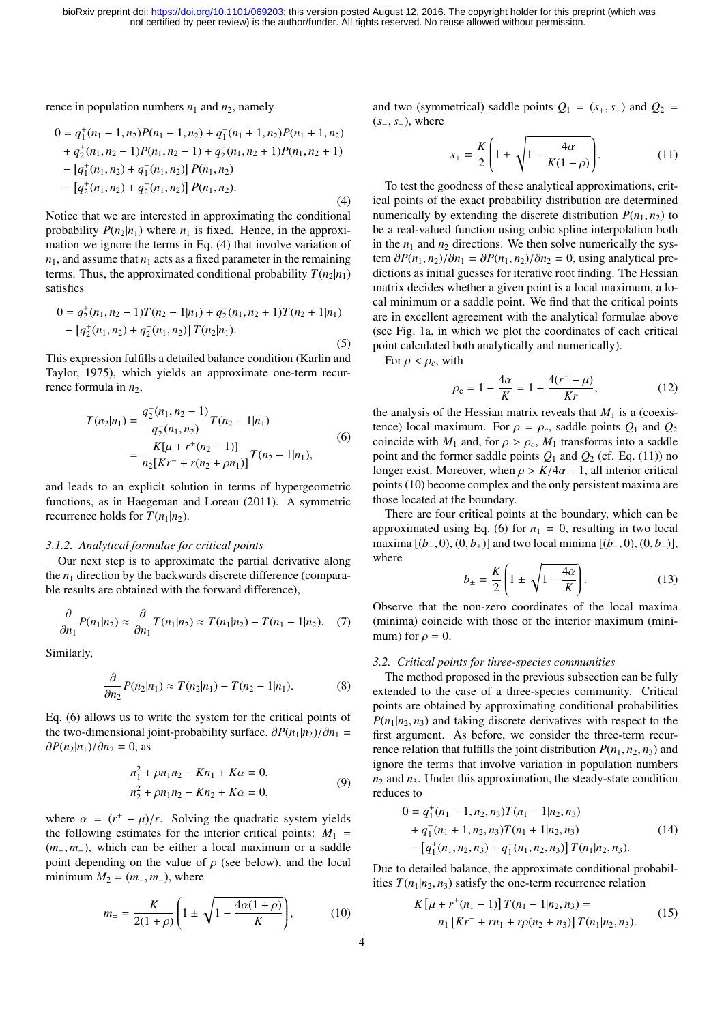rence in population numbers  $n_1$  and  $n_2$ , namely

$$
0 = q_1^+(n_1 - 1, n_2)P(n_1 - 1, n_2) + q_1^-(n_1 + 1, n_2)P(n_1 + 1, n_2)
$$
  
+  $q_2^+(n_1, n_2 - 1)P(n_1, n_2 - 1) + q_2^-(n_1, n_2 + 1)P(n_1, n_2 + 1)$   
-  $[q_1^+(n_1, n_2) + q_1^-(n_1, n_2)] P(n_1, n_2)$   
-  $[q_2^+(n_1, n_2) + q_2^-(n_1, n_2)] P(n_1, n_2).$  (4)

Notice that we are interested in approximating the conditional probability  $P(n_2|n_1)$  where  $n_1$  is fixed. Hence, in the approximation we ignore the terms in Eq. (4) that involve variation of  $n_1$ , and assume that  $n_1$  acts as a fixed parameter in the remaining terms. Thus, the approximated conditional probability  $T(n_2|n_1)$ satisfies

$$
0 = q_2^+(n_1, n_2 - 1)T(n_2 - 1|n_1) + q_2^-(n_1, n_2 + 1)T(n_2 + 1|n_1)
$$
  
- 
$$
[q_2^+(n_1, n_2) + q_2^-(n_1, n_2)] T(n_2|n_1).
$$
 (5)

This expression fulfills a detailed balance condition (Karlin and Taylor, 1975), which yields an approximate one-term recurrence formula in  $n_2$ ,

$$
T(n_2|n_1) = \frac{q_2^+(n_1, n_2 - 1)}{q_2^-(n_1, n_2)} T(n_2 - 1|n_1)
$$
  
= 
$$
\frac{K[\mu + r^+(n_2 - 1)]}{n_2[Kr^- + r(n_2 + \rho n_1)]} T(n_2 - 1|n_1),
$$
 (6)

and leads to an explicit solution in terms of hypergeometric functions, as in Haegeman and Loreau (2011). A symmetric recurrence holds for  $T(n_1|n_2)$ .

#### *3.1.2. Analytical formulae for critical points*

Our next step is to approximate the partial derivative along the  $n_1$  direction by the backwards discrete difference (comparable results are obtained with the forward difference),

$$
\frac{\partial}{\partial n_1} P(n_1|n_2) \approx \frac{\partial}{\partial n_1} T(n_1|n_2) \approx T(n_1|n_2) - T(n_1 - 1|n_2). \quad (7)
$$

Similarly,

$$
\frac{\partial}{\partial n_2} P(n_2|n_1) \approx T(n_2|n_1) - T(n_2 - 1|n_1). \tag{8}
$$

Eq. (6) allows us to write the system for the critical points of the two-dimensional joint-probability surface,  $\partial P(n_1|n_2)/\partial n_1$  =  $\partial P(n_2|n_1)/\partial n_2 = 0$ , as

$$
n_1^2 + \rho n_1 n_2 - Kn_1 + K\alpha = 0,
$$
  
\n
$$
n_2^2 + \rho n_1 n_2 - Kn_2 + K\alpha = 0,
$$
\n(9)

where  $\alpha = (r^+ - \mu)/r$ . Solving the quadratic system yields<br>the following estimates for the interior critical points:  $M_1$ the following estimates for the interior critical points:  $M_1$  =  $(m_+, m_+)$ , which can be either a local maximum or a saddle point depending on the value of  $\rho$  (see below), and the local minimum  $M_2 = (m_-, m_-)$ , where

$$
m_{\pm} = \frac{K}{2(1+\rho)} \left( 1 \pm \sqrt{1 - \frac{4\alpha(1+\rho)}{K}} \right),\tag{10}
$$

and two (symmetrical) saddle points  $Q_1 = (s_+, s_-)$  and  $Q_2 =$ (*s*<sup>−</sup>, *<sup>s</sup>*+), where

$$
s_{\pm} = \frac{K}{2} \left( 1 \pm \sqrt{1 - \frac{4\alpha}{K(1 - \rho)}} \right). \tag{11}
$$

To test the goodness of these analytical approximations, critical points of the exact probability distribution are determined numerically by extending the discrete distribution  $P(n_1, n_2)$  to be a real-valued function using cubic spline interpolation both in the  $n_1$  and  $n_2$  directions. We then solve numerically the system  $\partial P(n_1, n_2)/\partial n_1 = \partial P(n_1, n_2)/\partial n_2 = 0$ , using analytical predictions as initial guesses for iterative root finding. The Hessian matrix decides whether a given point is a local maximum, a local minimum or a saddle point. We find that the critical points are in excellent agreement with the analytical formulae above (see Fig. 1a, in which we plot the coordinates of each critical point calculated both analytically and numerically).

For  $\rho < \rho_c$ , with

$$
\rho_{\rm c} = 1 - \frac{4\alpha}{K} = 1 - \frac{4(r^+ - \mu)}{Kr},\tag{12}
$$

the analysis of the Hessian matrix reveals that  $M_1$  is a (coexistence) local maximum. For  $\rho = \rho_c$ , saddle points  $Q_1$  and  $Q_2$ coincide with  $M_1$  and, for  $\rho > \rho_c$ ,  $M_1$  transforms into a saddle point and the former saddle points  $Q_1$  and  $Q_2$  (cf. Eq. (11)) no longer exist. Moreover, when  $\rho > K/4\alpha - 1$ , all interior critical points (10) become complex and the only persistent maxima are those located at the boundary.

There are four critical points at the boundary, which can be approximated using Eq. (6) for  $n_1 = 0$ , resulting in two local maxima  $[(b_+, 0), (0, b_+)]$  and two local minima  $[(b_-, 0), (0, b_-)]$ , where

$$
b_{\pm} = \frac{K}{2} \left( 1 \pm \sqrt{1 - \frac{4\alpha}{K}} \right). \tag{13}
$$

Observe that the non-zero coordinates of the local maxima (minima) coincide with those of the interior maximum (minimum) for  $\rho = 0$ .

### *3.2. Critical points for three-species communities*

The method proposed in the previous subsection can be fully extended to the case of a three-species community. Critical points are obtained by approximating conditional probabilities  $P(n_1|n_2, n_3)$  and taking discrete derivatives with respect to the first argument. As before, we consider the three-term recurrence relation that fulfills the joint distribution  $P(n_1, n_2, n_3)$  and ignore the terms that involve variation in population numbers  $n_2$  and  $n_3$ . Under this approximation, the steady-state condition reduces to

$$
0 = q_1^+(n_1 - 1, n_2, n_3)T(n_1 - 1|n_2, n_3)
$$
  
+  $q_1^-(n_1 + 1, n_2, n_3)T(n_1 + 1|n_2, n_3)$   
-  $[q_1^+(n_1, n_2, n_3) + q_1^-(n_1, n_2, n_3)]T(n_1|n_2, n_3).$  (14)

Due to detailed balance, the approximate conditional probabilities  $T(n_1|n_2, n_3)$  satisfy the one-term recurrence relation

$$
K\left[\mu + r^+(n_1 - 1)\right]T(n_1 - 1|n_2, n_3) =
$$
  
\n
$$
n_1\left[Kr^- + rn_1 + r\rho(n_2 + n_3)\right]T(n_1|n_2, n_3).
$$
 (15)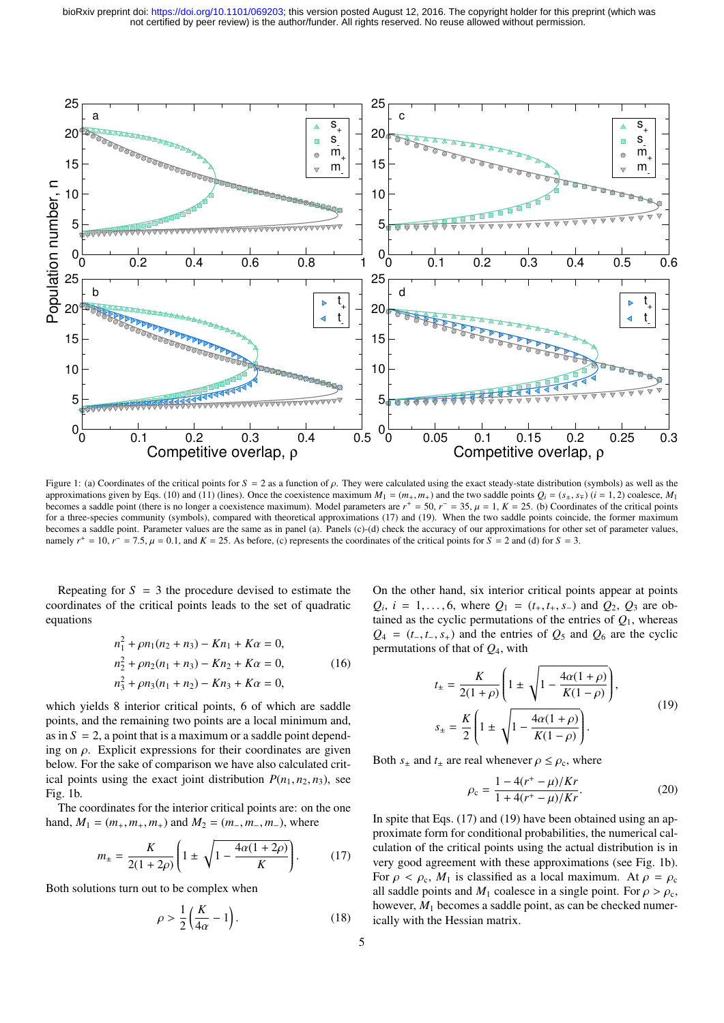

Figure 1: (a) Coordinates of the critical points for *<sup>S</sup>* <sup>=</sup> <sup>2</sup> as a function of ρ. They were calculated using the exact steady-state distribution (symbols) as well as the approximations given by Eqs. (10) and (11) (lines). Once the coexistence maximum  $M_1 = (m_+, m_+)$  and the two saddle points  $Q_i = (s_+, s_{\mp})$  (*i* = 1, 2) coalesce,  $M_1$ becomes a saddle point (there is no longer a coexistence maximum). Model parameters are  $r^+ = 50$ ,  $r^- = 35$ ,  $\mu = 1$ ,  $K = 25$ . (b) Coordinates of the critical points coincide the former maximum for a three-species communi for a three-species community (symbols), compared with theoretical approximations (17) and (19). When the two saddle points coincide, the former maximum becomes a saddle point. Parameter values are the same as in panel (a). Panels (c)-(d) check the accuracy of our approximations for other set of parameter values, namely  $r^+ = 10$ ,  $r^- = 7.5$ ,  $\mu = 0.1$ , and  $K = 25$ . As before, (c) represents the coordinates of the critical points for  $\overline{S} = 2$  and (d) for  $\overline{S} = 3$ .

Repeating for  $S = 3$  the procedure devised to estimate the coordinates of the critical points leads to the set of quadratic equations

$$
n_1^2 + \rho n_1(n_2 + n_3) - Kn_1 + K\alpha = 0,
$$
  
\n
$$
n_2^2 + \rho n_2(n_1 + n_3) - Kn_2 + K\alpha = 0,
$$
  
\n
$$
n_3^2 + \rho n_3(n_1 + n_2) - Kn_3 + K\alpha = 0,
$$
\n(16)

which yields 8 interior critical points, 6 of which are saddle points, and the remaining two points are a local minimum and, as in  $S = 2$ , a point that is a maximum or a saddle point depending on  $\rho$ . Explicit expressions for their coordinates are given below. For the sake of comparison we have also calculated critical points using the exact joint distribution  $P(n_1, n_2, n_3)$ , see Fig. 1b.

The coordinates for the interior critical points are: on the one hand,  $M_1 = (m_+, m_+, m_+)$  and  $M_2 = (m_-, m_-, m_-)$ , where

$$
m_{\pm} = \frac{K}{2(1+2\rho)} \left( 1 \pm \sqrt{1 - \frac{4\alpha(1+2\rho)}{K}} \right). \tag{17}
$$

Both solutions turn out to be complex when

$$
\rho > \frac{1}{2} \left( \frac{K}{4\alpha} - 1 \right). \tag{18}
$$

On the other hand, six interior critical points appear at points  $Q_i$ ,  $i = 1, \ldots, 6$ , where  $Q_1 = (t_+, t_+, s_-)$  and  $Q_2$ ,  $Q_3$  are obtained as the exclic permutations of the entries of  $Q_1$ , whereas tained as the cyclic permutations of the entries of  $Q_1$ , whereas  $Q_4 = (t_-, t_-, s_+)$  and the entries of  $Q_5$  and  $Q_6$  are the cyclic permutations of that of *Q*4, with

$$
t_{\pm} = \frac{K}{2(1+\rho)} \left( 1 \pm \sqrt{1 - \frac{4\alpha(1+\rho)}{K(1-\rho)}} \right),
$$
  

$$
s_{\pm} = \frac{K}{2} \left( 1 \pm \sqrt{1 - \frac{4\alpha(1+\rho)}{K(1-\rho)}} \right).
$$
 (19)

Both  $s_{\pm}$  and  $t_{\pm}$  are real whenever  $\rho \leq \rho_c$ , where

$$
\rho_{\rm c} = \frac{1 - 4(r^+ - \mu)/Kr}{1 + 4(r^+ - \mu)/Kr}.
$$
\n(20)

In spite that Eqs. (17) and (19) have been obtained using an approximate form for conditional probabilities, the numerical calculation of the critical points using the actual distribution is in very good agreement with these approximations (see Fig. 1b). For  $\rho < \rho_c$ ,  $M_1$  is classified as a local maximum. At  $\rho = \rho_c$ all saddle points and  $M_1$  coalesce in a single point. For  $\rho > \rho_c$ , however,  $M_1$  becomes a saddle point, as can be checked numerically with the Hessian matrix.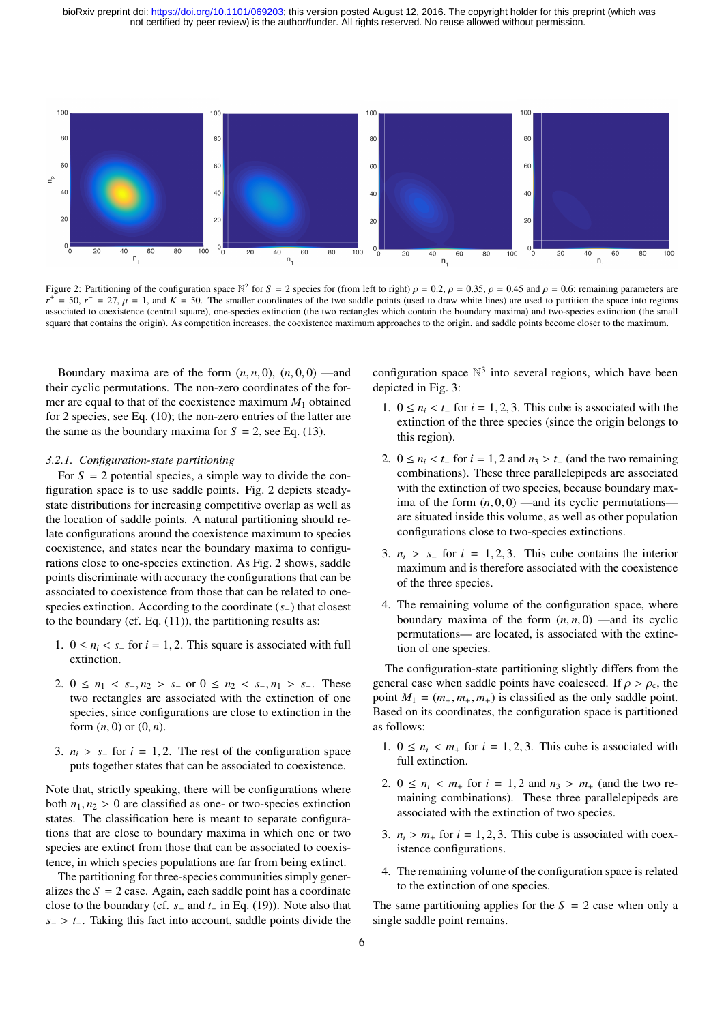not certified by peer review) is the author/funder. All rights reserved. No reuse allowed without permission. bioRxiv preprint doi: [https://doi.org/10.1101/069203;](https://doi.org/10.1101/069203) this version posted August 12, 2016. The copyright holder for this preprint (which was



Figure 2: Partitioning of the configuration space  $\mathbb{N}^2$  for  $S = 2$  species for (from left to right)  $\rho = 0.2$ ,  $\rho = 0.35$ ,  $\rho = 0.45$  and  $\rho = 0.6$ ; remaining parameters are  $r^+ = 50$   $r^- = 27$ ,  $\mu = 1$  and  $K = 50$ . T *r*  $+\epsilon$  = 50,  $r = 27$ ,  $\mu = 1$ , and  $K = 50$ . The smaller coordinates of the two saddle points (used to draw white lines) are used to partition the space into regions second to convict the smaller coordinates which contains t associated to coexistence (central square), one-species extinction (the two rectangles which contain the boundary maxima) and two-species extinction (the small square that contains the origin). As competition increases, the coexistence maximum approaches to the origin, and saddle points become closer to the maximum.

Boundary maxima are of the form  $(n, n, 0)$ ,  $(n, 0, 0)$  —and their cyclic permutations. The non-zero coordinates of the former are equal to that of the coexistence maximum *M*<sup>1</sup> obtained for 2 species, see Eq. (10); the non-zero entries of the latter are the same as the boundary maxima for  $S = 2$ , see Eq. (13).

#### *3.2.1. Configuration-state partitioning*

For  $S = 2$  potential species, a simple way to divide the configuration space is to use saddle points. Fig. 2 depicts steadystate distributions for increasing competitive overlap as well as the location of saddle points. A natural partitioning should relate configurations around the coexistence maximum to species coexistence, and states near the boundary maxima to configurations close to one-species extinction. As Fig. 2 shows, saddle points discriminate with accuracy the configurations that can be associated to coexistence from those that can be related to onespecies extinction. According to the coordinate (*s*−) that closest to the boundary (cf. Eq.  $(11)$ ), the partitioning results as:

- 1.  $0 \le n_i < s_$  for  $i = 1, 2$ . This square is associated with full extinction.
- 2.  $0 \le n_1 < s_-, n_2 > s_-$  or  $0 \le n_2 < s_-, n_1 > s_-$ . These two rectangles are associated with the extinction of one species, since configurations are close to extinction in the form  $(n, 0)$  or  $(0, n)$ .
- 3.  $n_i > s_$  for  $i = 1, 2$ . The rest of the configuration space puts together states that can be associated to coexistence.

Note that, strictly speaking, there will be configurations where both  $n_1, n_2 > 0$  are classified as one- or two-species extinction states. The classification here is meant to separate configurations that are close to boundary maxima in which one or two species are extinct from those that can be associated to coexistence, in which species populations are far from being extinct.

The partitioning for three-species communities simply generalizes the  $S = 2$  case. Again, each saddle point has a coordinate close to the boundary (cf. *s*<sup>−</sup> and *t*<sup>−</sup> in Eq. (19)). Note also that *<sup>s</sup>*<sup>−</sup> <sup>&</sup>gt; *<sup>t</sup>*−. Taking this fact into account, saddle points divide the

configuration space  $\mathbb{N}^3$  into several regions, which have been depicted in Fig. 3:

- 1.  $0 \le n_i < t_$  for  $i = 1, 2, 3$ . This cube is associated with the extinction of the three species (since the origin belongs to this region).
- 2.  $0 \le n_i < t_$  for  $i = 1, 2$  and  $n_3 > t_-$  (and the two remaining combinations). These three parallelepipeds are associated with the extinction of two species, because boundary maxima of the form  $(n, 0, 0)$  —and its cyclic permutations are situated inside this volume, as well as other population configurations close to two-species extinctions.
- 3.  $n_i > s_$  for  $i = 1, 2, 3$ . This cube contains the interior maximum and is therefore associated with the coexistence of the three species.
- 4. The remaining volume of the configuration space, where boundary maxima of the form  $(n, n, 0)$  —and its cyclic permutations— are located, is associated with the extinction of one species.

The configuration-state partitioning slightly differs from the general case when saddle points have coalesced. If  $\rho > \rho_c$ , the point  $M_1 = (m_+, m_+, m_+)$  is classified as the only saddle point. Based on its coordinates, the configuration space is partitioned as follows:

- 1.  $0 \le n_i < m_+$  for  $i = 1, 2, 3$ . This cube is associated with full extinction.
- 2.  $0 \le n_i < m_+$  for  $i = 1, 2$  and  $n_3 > m_+$  (and the two remaining combinations). These three parallelepipeds are associated with the extinction of two species.
- 3.  $n_i > m_+$  for  $i = 1, 2, 3$ . This cube is associated with coexistence configurations.
- 4. The remaining volume of the configuration space is related to the extinction of one species.

The same partitioning applies for the  $S = 2$  case when only a single saddle point remains.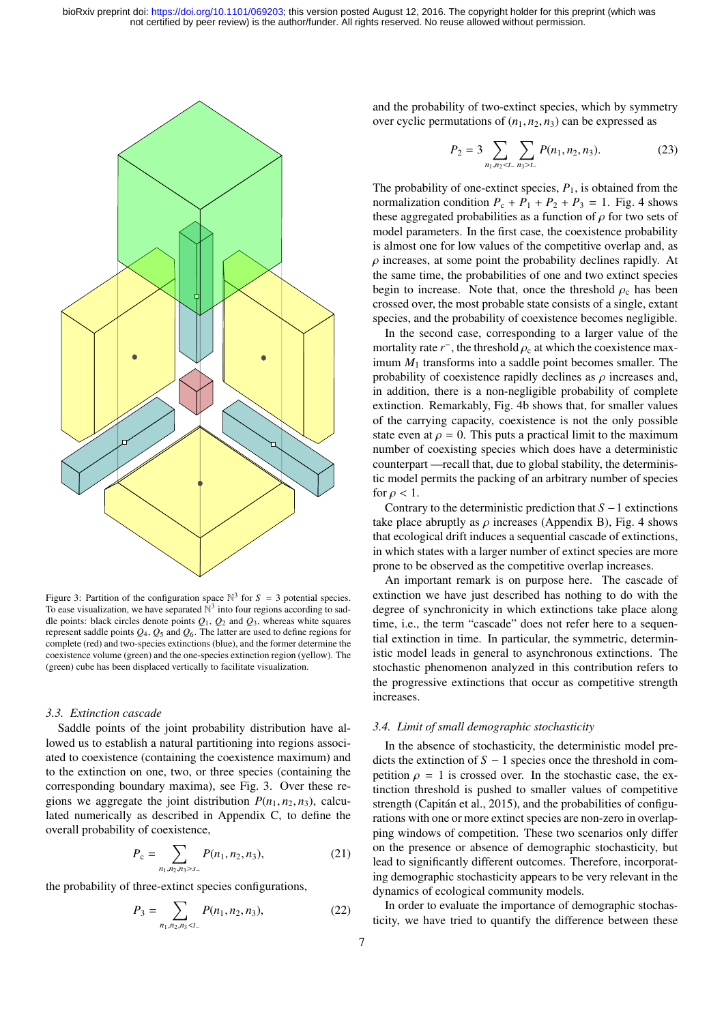

Figure 3: Partition of the configuration space  $\mathbb{N}^3$  for  $S = 3$  potential species. To ease visualization, we have separated  $\mathbb{N}^3$  into four regions according to saddle points: black circles denote points  $Q_1$ ,  $Q_2$  and  $Q_3$ , whereas white squares represent saddle points *Q*4, *Q*<sup>5</sup> and *Q*6. The latter are used to define regions for complete (red) and two-species extinctions (blue), and the former determine the coexistence volume (green) and the one-species extinction region (yellow). The (green) cube has been displaced vertically to facilitate visualization.

#### *3.3. Extinction cascade*

Saddle points of the joint probability distribution have allowed us to establish a natural partitioning into regions associated to coexistence (containing the coexistence maximum) and to the extinction on one, two, or three species (containing the corresponding boundary maxima), see Fig. 3. Over these regions we aggregate the joint distribution  $P(n_1, n_2, n_3)$ , calculated numerically as described in Appendix C, to define the overall probability of coexistence,

$$
P_{\rm c} = \sum_{n_1, n_2, n_3 > s_-} P(n_1, n_2, n_3),\tag{21}
$$

the probability of three-extinct species configurations,

$$
P_3 = \sum_{n_1, n_2, n_3 < t_-} P(n_1, n_2, n_3),\tag{22}
$$

and the probability of two-extinct species, which by symmetry over cyclic permutations of  $(n_1, n_2, n_3)$  can be expressed as

$$
P_2 = 3 \sum_{n_1, n_2 < t.} \sum_{n_3 > t.} P(n_1, n_2, n_3). \tag{23}
$$

The probability of one-extinct species,  $P_1$ , is obtained from the normalization condition  $P_c + P_1 + P_2 + P_3 = 1$ . Fig. 4 shows these aggregated probabilities as a function of  $\rho$  for two sets of model parameters. In the first case, the coexistence probability is almost one for low values of the competitive overlap and, as  $\rho$  increases, at some point the probability declines rapidly. At the same time, the probabilities of one and two extinct species begin to increase. Note that, once the threshold  $\rho_c$  has been crossed over, the most probable state consists of a single, extant species, and the probability of coexistence becomes negligible.

In the second case, corresponding to a larger value of the mortality rate  $r^-$ , the threshold  $\rho_c$  at which the coexistence max-<br>imum *M*, transforms into a saddle point becomes smaller. The imum *M*<sup>1</sup> transforms into a saddle point becomes smaller. The probability of coexistence rapidly declines as  $\rho$  increases and, in addition, there is a non-negligible probability of complete extinction. Remarkably, Fig. 4b shows that, for smaller values of the carrying capacity, coexistence is not the only possible state even at  $\rho = 0$ . This puts a practical limit to the maximum number of coexisting species which does have a deterministic counterpart —recall that, due to global stability, the deterministic model permits the packing of an arbitrary number of species for  $\rho < 1$ .

Contrary to the deterministic prediction that *S* −1 extinctions take place abruptly as  $\rho$  increases (Appendix B), Fig. 4 shows that ecological drift induces a sequential cascade of extinctions, in which states with a larger number of extinct species are more prone to be observed as the competitive overlap increases.

An important remark is on purpose here. The cascade of extinction we have just described has nothing to do with the degree of synchronicity in which extinctions take place along time, i.e., the term "cascade" does not refer here to a sequential extinction in time. In particular, the symmetric, deterministic model leads in general to asynchronous extinctions. The stochastic phenomenon analyzed in this contribution refers to the progressive extinctions that occur as competitive strength increases.

## *3.4. Limit of small demographic stochasticity*

In the absence of stochasticity, the deterministic model predicts the extinction of *S* − 1 species once the threshold in competition  $\rho = 1$  is crossed over. In the stochastic case, the extinction threshold is pushed to smaller values of competitive strength (Capitán et al., 2015), and the probabilities of configurations with one or more extinct species are non-zero in overlapping windows of competition. These two scenarios only differ on the presence or absence of demographic stochasticity, but lead to significantly different outcomes. Therefore, incorporating demographic stochasticity appears to be very relevant in the dynamics of ecological community models.

In order to evaluate the importance of demographic stochasticity, we have tried to quantify the difference between these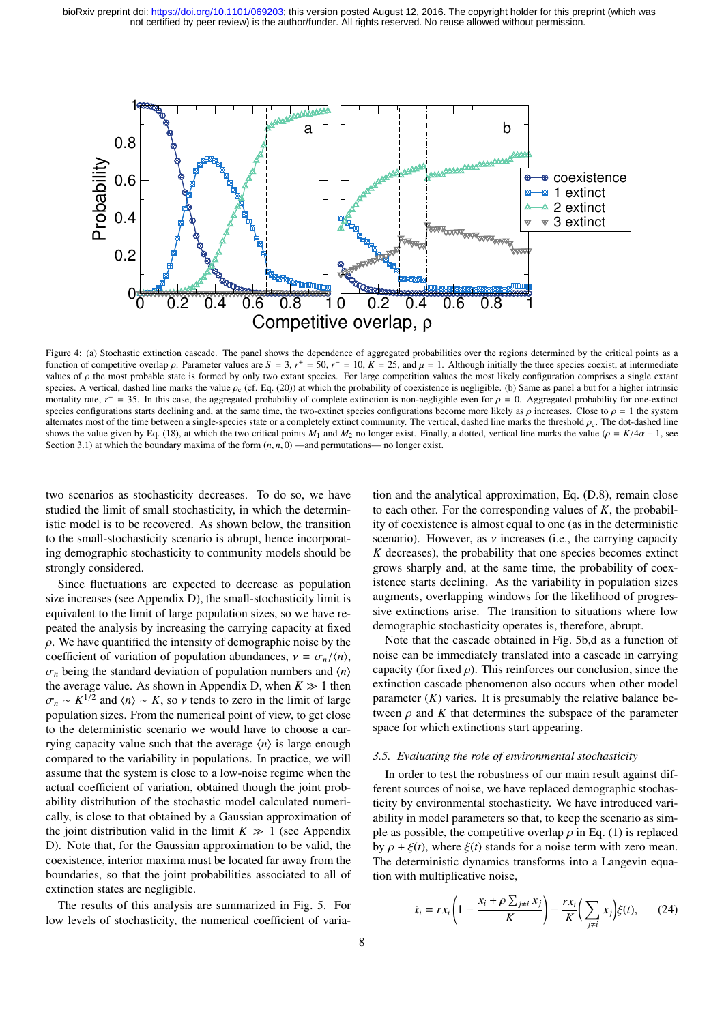

Figure 4: (a) Stochastic extinction cascade. The panel shows the dependence of aggregated probabilities over the regions determined by the critical points as a function of competitive overlap *ρ*. Parameter values are  $S = 3$ ,  $r^+ = 50$ ,  $r^- = 10$ ,  $K = 25$ , and  $\mu = 1$ . Although initially the three species coexist, at intermediate values of *o* the most probable state is formed by values of  $\rho$  the most probable state is formed by only two extant species. For large competition values the most likely configuration comprises a single extant species. A vertical, dashed line marks the value  $\rho_c$  (cf. Eq. (20)) at which the probability of coexistence is negligible. (b) Same as panel a but for a higher intrinsic mortality rate,  $r^2 = 35$ . In this case, the aggregated probability of complete extinction is non-negligible even for  $\rho = 0$ . Aggregated probability for one-extinct<br>species configurations starts declining and at the same species configurations starts declining and, at the same time, the two-extinct species configurations become more likely as  $\rho$  increases. Close to  $\rho = 1$  the system alternates most of the time between a single-species state or a completely extinct community. The vertical, dashed line marks the threshold  $\rho_c$ . The dot-dashed line shows the value given by Eq. (18), at which the two critical points *M*<sub>1</sub> and *M*<sub>2</sub> no longer exist. Finally, a dotted, vertical line marks the value ( $\rho = K/4\alpha - 1$ , see Section 3.1) at which the boundary maxima of the form  $(n, n, 0)$ —and permutations— no longer exist.

two scenarios as stochasticity decreases. To do so, we have studied the limit of small stochasticity, in which the deterministic model is to be recovered. As shown below, the transition to the small-stochasticity scenario is abrupt, hence incorporating demographic stochasticity to community models should be strongly considered.

Since fluctuations are expected to decrease as population size increases (see Appendix D), the small-stochasticity limit is equivalent to the limit of large population sizes, so we have repeated the analysis by increasing the carrying capacity at fixed  $\rho$ . We have quantified the intensity of demographic noise by the coefficient of variation of population abundances,  $v = \frac{\sigma_n}{\langle n \rangle}$ ,  $\sigma_n$  being the standard deviation of population numbers and  $\langle n \rangle$ the average value. As shown in Appendix D, when  $K \gg 1$  then  $\sigma_n \sim K^{1/2}$  and  $\langle n \rangle \sim K$ , so *ν* tends to zero in the limit of large population sizes. From the numerical point of view to get close population sizes. From the numerical point of view, to get close to the deterministic scenario we would have to choose a carrying capacity value such that the average  $\langle n \rangle$  is large enough compared to the variability in populations. In practice, we will assume that the system is close to a low-noise regime when the actual coefficient of variation, obtained though the joint probability distribution of the stochastic model calculated numerically, is close to that obtained by a Gaussian approximation of the joint distribution valid in the limit  $K \gg 1$  (see Appendix D). Note that, for the Gaussian approximation to be valid, the coexistence, interior maxima must be located far away from the boundaries, so that the joint probabilities associated to all of extinction states are negligible.

The results of this analysis are summarized in Fig. 5. For low levels of stochasticity, the numerical coefficient of variation and the analytical approximation, Eq. (D.8), remain close to each other. For the corresponding values of  $K$ , the probability of coexistence is almost equal to one (as in the deterministic scenario). However, as  $\nu$  increases (i.e., the carrying capacity *K* decreases), the probability that one species becomes extinct grows sharply and, at the same time, the probability of coexistence starts declining. As the variability in population sizes augments, overlapping windows for the likelihood of progressive extinctions arise. The transition to situations where low demographic stochasticity operates is, therefore, abrupt.

Note that the cascade obtained in Fig. 5b,d as a function of noise can be immediately translated into a cascade in carrying capacity (for fixed  $\rho$ ). This reinforces our conclusion, since the extinction cascade phenomenon also occurs when other model parameter  $(K)$  varies. It is presumably the relative balance between  $\rho$  and  $K$  that determines the subspace of the parameter space for which extinctions start appearing.

#### *3.5. Evaluating the role of environmental stochasticity*

In order to test the robustness of our main result against different sources of noise, we have replaced demographic stochasticity by environmental stochasticity. We have introduced variability in model parameters so that, to keep the scenario as simple as possible, the competitive overlap  $\rho$  in Eq. (1) is replaced by  $\rho + \xi(t)$ , where  $\xi(t)$  stands for a noise term with zero mean. The deterministic dynamics transforms into a Langevin equation with multiplicative noise,

$$
\dot{x}_i = rx_i \left( 1 - \frac{x_i + \rho \sum_{j \neq i} x_j}{K} \right) - \frac{rx_i}{K} \left( \sum_{j \neq i} x_j \right) \xi(t), \qquad (24)
$$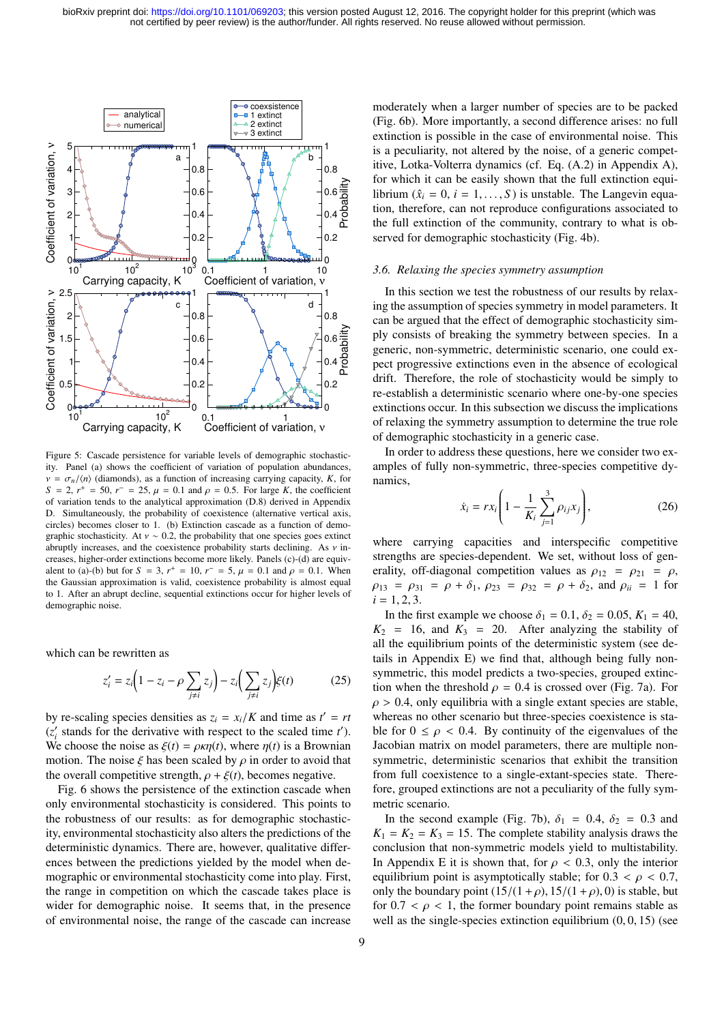

Figure 5: Cascade persistence for variable levels of demographic stochasticity. Panel (a) shows the coefficient of variation of population abundances,  $v = \frac{\sigma_n}{\langle n \rangle}$  (diamonds), as a function of increasing carrying capacity, *K*, for  $S = 2$ ,  $r^+ = 50$ ,  $r^- = 25$ ,  $\mu = 0.1$  and  $\rho = 0.5$ . For large *K*, the coefficient of variation tends to the analytical approximation (D.8) derived in Appendix of variation tends to the analytical approximation (D.8) derived in Appendix D. Simultaneously, the probability of coexistence (alternative vertical axis, circles) becomes closer to 1. (b) Extinction cascade as a function of demographic stochasticity. At  $v \sim 0.2$ , the probability that one species goes extinct abruptly increases, and the coexistence probability starts declining. As  $\nu$  increases, higher-order extinctions become more likely. Panels (c)-(d) are equivalent to (a)-(b) but for  $S = 3$ ,  $r^+ = 10$ ,  $r^- = 5$ ,  $\mu = 0.1$  and  $\rho = 0.1$ . When<br>the Gaussian approximation is valid coexistence probability is almost equal the Gaussian approximation is valid, coexistence probability is almost equal to 1. After an abrupt decline, sequential extinctions occur for higher levels of demographic noise.

which can be rewritten as

$$
z_i' = z_i \left(1 - z_i - \rho \sum_{j \neq i} z_j\right) - z_i \left(\sum_{j \neq i} z_j\right) \xi(t) \tag{25}
$$

by re-scaling species densities as  $z_i = x_i/K$  and time as  $t' = rt$ <br>(z' stands for the derivative with respect to the scaled time  $t'$ )  $(z'_i$  stands for the derivative with respect to the scaled time  $t'$ ). We choose the noise as  $\xi(t) = \rho \kappa \eta(t)$ , where  $\eta(t)$  is a Brownian motion. The noise  $\xi$  has been scaled by  $\rho$  in order to avoid that the overall competitive strength,  $\rho + \xi(t)$ , becomes negative.

Fig. 6 shows the persistence of the extinction cascade when only environmental stochasticity is considered. This points to the robustness of our results: as for demographic stochasticity, environmental stochasticity also alters the predictions of the deterministic dynamics. There are, however, qualitative differences between the predictions yielded by the model when demographic or environmental stochasticity come into play. First, the range in competition on which the cascade takes place is wider for demographic noise. It seems that, in the presence of environmental noise, the range of the cascade can increase

moderately when a larger number of species are to be packed (Fig. 6b). More importantly, a second difference arises: no full extinction is possible in the case of environmental noise. This is a peculiarity, not altered by the noise, of a generic competitive, Lotka-Volterra dynamics (cf. Eq. (A.2) in Appendix A), for which it can be easily shown that the full extinction equilibrium  $(\hat{x}_i = 0, i = 1, \ldots, S)$  is unstable. The Langevin equation, therefore, can not reproduce configurations associated to the full extinction of the community, contrary to what is observed for demographic stochasticity (Fig. 4b).

#### *3.6. Relaxing the species symmetry assumption*

In this section we test the robustness of our results by relaxing the assumption of species symmetry in model parameters. It can be argued that the effect of demographic stochasticity simply consists of breaking the symmetry between species. In a generic, non-symmetric, deterministic scenario, one could expect progressive extinctions even in the absence of ecological drift. Therefore, the role of stochasticity would be simply to re-establish a deterministic scenario where one-by-one species extinctions occur. In this subsection we discuss the implications of relaxing the symmetry assumption to determine the true role of demographic stochasticity in a generic case.

In order to address these questions, here we consider two examples of fully non-symmetric, three-species competitive dynamics,

$$
\dot{x}_i = rx_i \left( 1 - \frac{1}{K_i} \sum_{j=1}^3 \rho_{ij} x_j \right),
$$
 (26)

where carrying capacities and interspecific competitive strengths are species-dependent. We set, without loss of generality, off-diagonal competition values as  $\rho_{12} = \rho_{21} = \rho$ ,  $\rho_{13} = \rho_{31} = \rho + \delta_1$ ,  $\rho_{23} = \rho_{32} = \rho + \delta_2$ , and  $\rho_{ii} = 1$  for  $i = 1, 2, 3$ .

In the first example we choose  $\delta_1 = 0.1, \delta_2 = 0.05, K_1 = 40$ ,  $K_2$  = 16, and  $K_3$  = 20. After analyzing the stability of all the equilibrium points of the deterministic system (see details in Appendix E) we find that, although being fully nonsymmetric, this model predicts a two-species, grouped extinction when the threshold  $\rho = 0.4$  is crossed over (Fig. 7a). For  $\rho > 0.4$ , only equilibria with a single extant species are stable, whereas no other scenario but three-species coexistence is stable for  $0 \le \rho < 0.4$ . By continuity of the eigenvalues of the Jacobian matrix on model parameters, there are multiple nonsymmetric, deterministic scenarios that exhibit the transition from full coexistence to a single-extant-species state. Therefore, grouped extinctions are not a peculiarity of the fully symmetric scenario.

In the second example (Fig. 7b),  $\delta_1 = 0.4$ ,  $\delta_2 = 0.3$  and  $K_1 = K_2 = K_3 = 15$ . The complete stability analysis draws the conclusion that non-symmetric models yield to multistability. In Appendix E it is shown that, for  $\rho < 0.3$ , only the interior equilibrium point is asymptotically stable; for  $0.3 < \rho < 0.7$ , only the boundary point  $(15/(1 + \rho), 15/(1 + \rho), 0)$  is stable, but for  $0.7 < \rho < 1$ , the former boundary point remains stable as well as the single-species extinction equilibrium  $(0, 0, 15)$  (see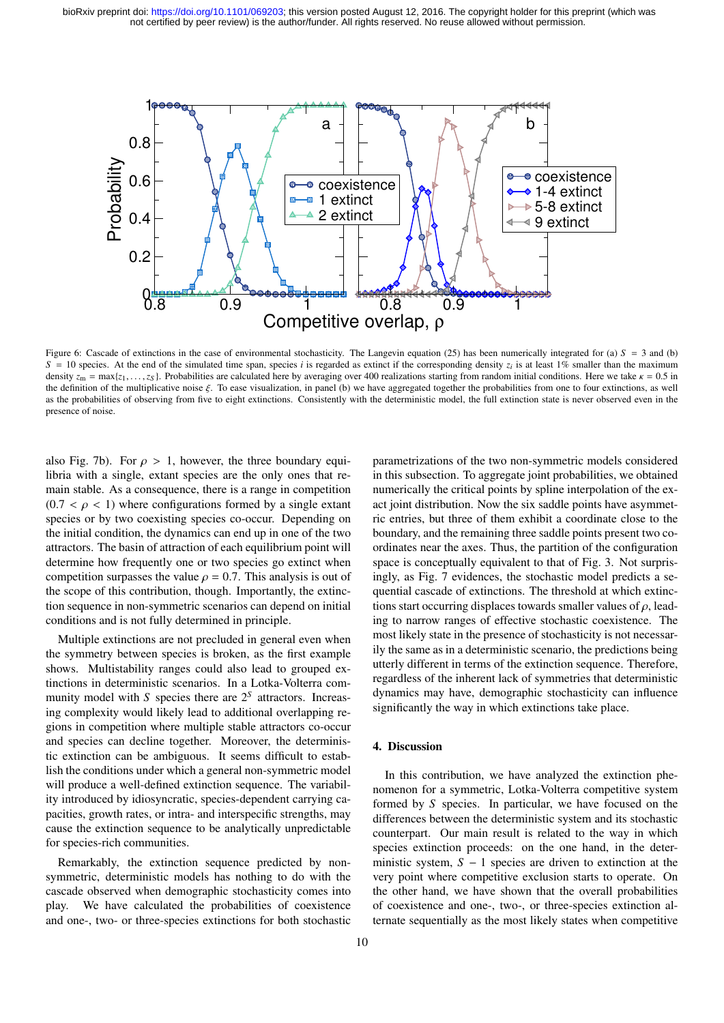

Figure 6: Cascade of extinctions in the case of environmental stochasticity. The Langevin equation (25) has been numerically integrated for (a)  $S = 3$  and (b)  $S = 10$  species. At the end of the simulated time span, species *i* is regarded as extinct if the corresponding density  $z_i$  is at least 1% smaller than the maximum density  $z_m = \max\{z_1, \ldots, z_s\}$ . Probabilities are calculated here by averaging over 400 realizations starting from random initial conditions. Here we take  $\kappa = 0.5$  in the definition of the multiplicative noise ξ. To ease visualization, in panel (b) we have aggregated together the probabilities from one to four extinctions, as well as the probabilities of observing from five to eight extinctions. Consistently with the deterministic model, the full extinction state is never observed even in the presence of noise.

also Fig. 7b). For  $\rho > 1$ , however, the three boundary equilibria with a single, extant species are the only ones that remain stable. As a consequence, there is a range in competition  $(0.7 < \rho < 1)$  where configurations formed by a single extant species or by two coexisting species co-occur. Depending on the initial condition, the dynamics can end up in one of the two attractors. The basin of attraction of each equilibrium point will determine how frequently one or two species go extinct when competition surpasses the value  $\rho = 0.7$ . This analysis is out of the scope of this contribution, though. Importantly, the extinction sequence in non-symmetric scenarios can depend on initial conditions and is not fully determined in principle.

Multiple extinctions are not precluded in general even when the symmetry between species is broken, as the first example shows. Multistability ranges could also lead to grouped extinctions in deterministic scenarios. In a Lotka-Volterra community model with *S* species there are  $2<sup>S</sup>$  attractors. Increasing complexity would likely lead to additional overlapping regions in competition where multiple stable attractors co-occur and species can decline together. Moreover, the deterministic extinction can be ambiguous. It seems difficult to establish the conditions under which a general non-symmetric model will produce a well-defined extinction sequence. The variability introduced by idiosyncratic, species-dependent carrying capacities, growth rates, or intra- and interspecific strengths, may cause the extinction sequence to be analytically unpredictable for species-rich communities.

Remarkably, the extinction sequence predicted by nonsymmetric, deterministic models has nothing to do with the cascade observed when demographic stochasticity comes into play. We have calculated the probabilities of coexistence and one-, two- or three-species extinctions for both stochastic

parametrizations of the two non-symmetric models considered in this subsection. To aggregate joint probabilities, we obtained numerically the critical points by spline interpolation of the exact joint distribution. Now the six saddle points have asymmetric entries, but three of them exhibit a coordinate close to the boundary, and the remaining three saddle points present two coordinates near the axes. Thus, the partition of the configuration space is conceptually equivalent to that of Fig. 3. Not surprisingly, as Fig. 7 evidences, the stochastic model predicts a sequential cascade of extinctions. The threshold at which extinctions start occurring displaces towards smaller values of  $\rho$ , leading to narrow ranges of effective stochastic coexistence. The most likely state in the presence of stochasticity is not necessarily the same as in a deterministic scenario, the predictions being utterly different in terms of the extinction sequence. Therefore, regardless of the inherent lack of symmetries that deterministic dynamics may have, demographic stochasticity can influence significantly the way in which extinctions take place.

## 4. Discussion

In this contribution, we have analyzed the extinction phenomenon for a symmetric, Lotka-Volterra competitive system formed by *S* species. In particular, we have focused on the differences between the deterministic system and its stochastic counterpart. Our main result is related to the way in which species extinction proceeds: on the one hand, in the deterministic system, *S* − 1 species are driven to extinction at the very point where competitive exclusion starts to operate. On the other hand, we have shown that the overall probabilities of coexistence and one-, two-, or three-species extinction alternate sequentially as the most likely states when competitive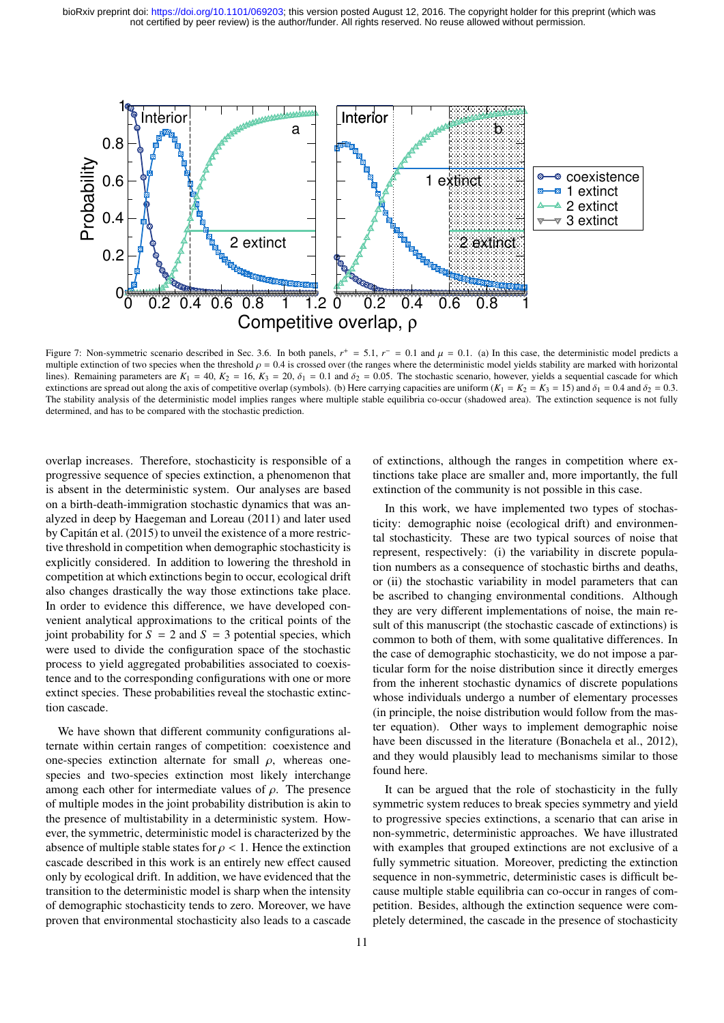

Figure 7: Non-symmetric scenario described in Sec. 3.6. In both panels,  $r^+ = 5.1$ ,  $r^- = 0.1$  and  $\mu = 0.1$ . (a) In this case, the deterministic model predicts and predicts are marked with horizontal multiple extinction o multiple extinction of two species when the threshold  $\rho = 0.4$  is crossed over (the ranges where the deterministic model yields stability are marked with horizontal lines). Remaining parameters are  $K_1 = 40$ ,  $K_2 = 16$ ,  $K_3 = 20$ ,  $\delta_1 = 0.1$  and  $\delta_2 = 0.05$ . The stochastic scenario, however, yields a sequential cascade for which extinctions are spread out along the axis of competitive overlap (symbols). (b) Here carrying capacities are uniform  $(K_1 = K_2 = K_3 = 15)$  and  $\delta_1 = 0.4$  and  $\delta_2 = 0.3$ . The stability analysis of the deterministic model implies ranges where multiple stable equilibria co-occur (shadowed area). The extinction sequence is not fully determined, and has to be compared with the stochastic prediction.

overlap increases. Therefore, stochasticity is responsible of a progressive sequence of species extinction, a phenomenon that is absent in the deterministic system. Our analyses are based on a birth-death-immigration stochastic dynamics that was analyzed in deep by Haegeman and Loreau (2011) and later used by Capitan et al. (2015) to unveil the existence of a more restric- ´ tive threshold in competition when demographic stochasticity is explicitly considered. In addition to lowering the threshold in competition at which extinctions begin to occur, ecological drift also changes drastically the way those extinctions take place. In order to evidence this difference, we have developed convenient analytical approximations to the critical points of the joint probability for  $S = 2$  and  $S = 3$  potential species, which were used to divide the configuration space of the stochastic process to yield aggregated probabilities associated to coexistence and to the corresponding configurations with one or more extinct species. These probabilities reveal the stochastic extinction cascade.

We have shown that different community configurations alternate within certain ranges of competition: coexistence and one-species extinction alternate for small  $\rho$ , whereas onespecies and two-species extinction most likely interchange among each other for intermediate values of  $\rho$ . The presence of multiple modes in the joint probability distribution is akin to the presence of multistability in a deterministic system. However, the symmetric, deterministic model is characterized by the absence of multiple stable states for  $\rho < 1$ . Hence the extinction cascade described in this work is an entirely new effect caused only by ecological drift. In addition, we have evidenced that the transition to the deterministic model is sharp when the intensity of demographic stochasticity tends to zero. Moreover, we have proven that environmental stochasticity also leads to a cascade

of extinctions, although the ranges in competition where extinctions take place are smaller and, more importantly, the full extinction of the community is not possible in this case.

In this work, we have implemented two types of stochasticity: demographic noise (ecological drift) and environmental stochasticity. These are two typical sources of noise that represent, respectively: (i) the variability in discrete population numbers as a consequence of stochastic births and deaths, or (ii) the stochastic variability in model parameters that can be ascribed to changing environmental conditions. Although they are very different implementations of noise, the main result of this manuscript (the stochastic cascade of extinctions) is common to both of them, with some qualitative differences. In the case of demographic stochasticity, we do not impose a particular form for the noise distribution since it directly emerges from the inherent stochastic dynamics of discrete populations whose individuals undergo a number of elementary processes (in principle, the noise distribution would follow from the master equation). Other ways to implement demographic noise have been discussed in the literature (Bonachela et al., 2012), and they would plausibly lead to mechanisms similar to those found here.

It can be argued that the role of stochasticity in the fully symmetric system reduces to break species symmetry and yield to progressive species extinctions, a scenario that can arise in non-symmetric, deterministic approaches. We have illustrated with examples that grouped extinctions are not exclusive of a fully symmetric situation. Moreover, predicting the extinction sequence in non-symmetric, deterministic cases is difficult because multiple stable equilibria can co-occur in ranges of competition. Besides, although the extinction sequence were completely determined, the cascade in the presence of stochasticity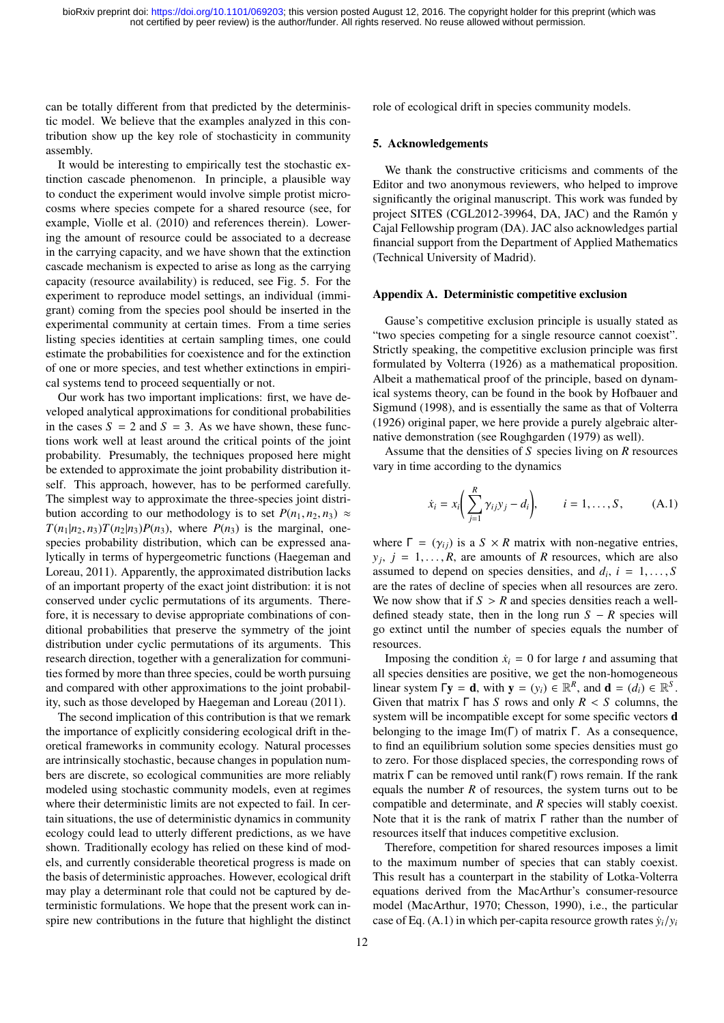can be totally different from that predicted by the deterministic model. We believe that the examples analyzed in this contribution show up the key role of stochasticity in community assembly.

It would be interesting to empirically test the stochastic extinction cascade phenomenon. In principle, a plausible way to conduct the experiment would involve simple protist microcosms where species compete for a shared resource (see, for example, Violle et al. (2010) and references therein). Lowering the amount of resource could be associated to a decrease in the carrying capacity, and we have shown that the extinction cascade mechanism is expected to arise as long as the carrying capacity (resource availability) is reduced, see Fig. 5. For the experiment to reproduce model settings, an individual (immigrant) coming from the species pool should be inserted in the experimental community at certain times. From a time series listing species identities at certain sampling times, one could estimate the probabilities for coexistence and for the extinction of one or more species, and test whether extinctions in empirical systems tend to proceed sequentially or not.

Our work has two important implications: first, we have developed analytical approximations for conditional probabilities in the cases  $S = 2$  and  $S = 3$ . As we have shown, these functions work well at least around the critical points of the joint probability. Presumably, the techniques proposed here might be extended to approximate the joint probability distribution itself. This approach, however, has to be performed carefully. The simplest way to approximate the three-species joint distribution according to our methodology is to set  $P(n_1, n_2, n_3) \approx$  $T(n_1|n_2, n_3)T(n_2|n_3)P(n_3)$ , where  $P(n_3)$  is the marginal, onespecies probability distribution, which can be expressed analytically in terms of hypergeometric functions (Haegeman and Loreau, 2011). Apparently, the approximated distribution lacks of an important property of the exact joint distribution: it is not conserved under cyclic permutations of its arguments. Therefore, it is necessary to devise appropriate combinations of conditional probabilities that preserve the symmetry of the joint distribution under cyclic permutations of its arguments. This research direction, together with a generalization for communities formed by more than three species, could be worth pursuing and compared with other approximations to the joint probability, such as those developed by Haegeman and Loreau (2011).

The second implication of this contribution is that we remark the importance of explicitly considering ecological drift in theoretical frameworks in community ecology. Natural processes are intrinsically stochastic, because changes in population numbers are discrete, so ecological communities are more reliably modeled using stochastic community models, even at regimes where their deterministic limits are not expected to fail. In certain situations, the use of deterministic dynamics in community ecology could lead to utterly different predictions, as we have shown. Traditionally ecology has relied on these kind of models, and currently considerable theoretical progress is made on the basis of deterministic approaches. However, ecological drift may play a determinant role that could not be captured by deterministic formulations. We hope that the present work can inspire new contributions in the future that highlight the distinct

role of ecological drift in species community models.

#### 5. Acknowledgements

We thank the constructive criticisms and comments of the Editor and two anonymous reviewers, who helped to improve significantly the original manuscript. This work was funded by project SITES (CGL2012-39964, DA, JAC) and the Ramón y Cajal Fellowship program (DA). JAC also acknowledges partial financial support from the Department of Applied Mathematics (Technical University of Madrid).

#### Appendix A. Deterministic competitive exclusion

Gause's competitive exclusion principle is usually stated as "two species competing for a single resource cannot coexist". Strictly speaking, the competitive exclusion principle was first formulated by Volterra (1926) as a mathematical proposition. Albeit a mathematical proof of the principle, based on dynamical systems theory, can be found in the book by Hofbauer and Sigmund (1998), and is essentially the same as that of Volterra (1926) original paper, we here provide a purely algebraic alternative demonstration (see Roughgarden (1979) as well).

Assume that the densities of *S* species living on *R* resources vary in time according to the dynamics

$$
\dot{x}_i = x_i \bigg( \sum_{j=1}^R \gamma_{ij} y_j - d_i \bigg), \qquad i = 1, ..., S,
$$
\n(A.1)

where  $\Gamma = (\gamma_{ij})$  is a  $S \times R$  matrix with non-negative entries,  $y_j$ ,  $j = 1, \ldots, R$ , are amounts of *R* resources, which are also assumed to depend on species densities and  $d_j$ ,  $j = 1$ assumed to depend on species densities, and  $d_i$ ,  $i = 1, \ldots, S$ <br>are the rates of decline of species when all resources are zero are the rates of decline of species when all resources are zero. We now show that if  $S > R$  and species densities reach a welldefined steady state, then in the long run  $S - R$  species will go extinct until the number of species equals the number of resources.

Imposing the condition  $\dot{x}_i = 0$  for large *t* and assuming that all species densities are positive, we get the non-homogeneous linear system  $\Gamma$ **y** = **d**, with **y** = ( $y_i$ )  $\in \mathbb{R}^R$ , and **d** = ( $d_i$ )  $\in \mathbb{R}^S$ . Given that matrix <sup>Γ</sup> has *<sup>S</sup>* rows and only *<sup>R</sup>* < *<sup>S</sup>* columns, the system will be incompatible except for some specific vectors d belonging to the image  $\text{Im}(\Gamma)$  of matrix  $\Gamma$ . As a consequence, to find an equilibrium solution some species densities must go to zero. For those displaced species, the corresponding rows of matrix Γ can be removed until rank(Γ) rows remain. If the rank equals the number  $R$  of resources, the system turns out to be compatible and determinate, and *R* species will stably coexist. Note that it is the rank of matrix Γ rather than the number of resources itself that induces competitive exclusion.

Therefore, competition for shared resources imposes a limit to the maximum number of species that can stably coexist. This result has a counterpart in the stability of Lotka-Volterra equations derived from the MacArthur's consumer-resource model (MacArthur, 1970; Chesson, 1990), i.e., the particular case of Eq. (A.1) in which per-capita resource growth rates  $\dot{y}_i/y_i$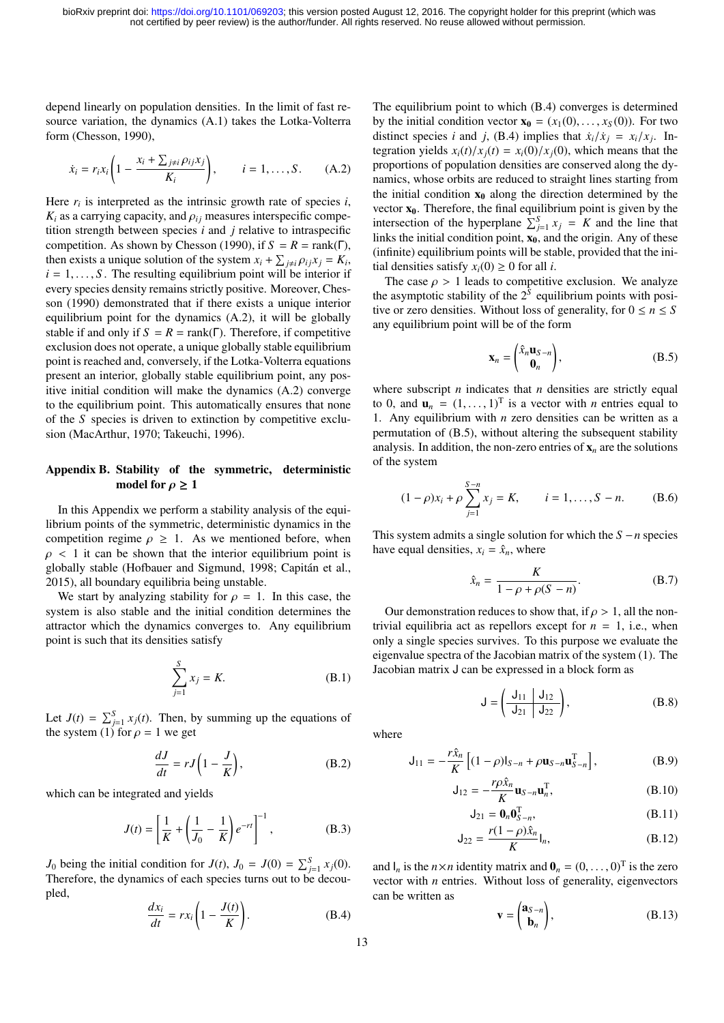depend linearly on population densities. In the limit of fast resource variation, the dynamics (A.1) takes the Lotka-Volterra form (Chesson, 1990),

$$
\dot{x}_i = r_i x_i \left( 1 - \frac{x_i + \sum_{j \neq i} \rho_{ij} x_j}{K_i} \right), \qquad i = 1, \dots, S. \tag{A.2}
$$

Here  $r_i$  is interpreted as the intrinsic growth rate of species  $i$ ,  $K_i$  as a carrying capacity, and  $\rho_{ij}$  measures interspecific competition strength between species *i* and *j* relative to intraspecific competition. As shown by Chesson (1990), if  $S = R = \text{rank}(\Gamma)$ , then exists a unique solution of the system  $x_i + \sum_{j \neq i} \rho_{ij} x_j = K_i$ ,<br>  $i - 1$  S. The resulting equilibrium point will be interior if  $i = 1, \ldots, S$ . The resulting equilibrium point will be interior if every species density remains strictly positive. Moreover, Chesson (1990) demonstrated that if there exists a unique interior equilibrium point for the dynamics (A.2), it will be globally stable if and only if  $S = R = \text{rank}(\Gamma)$ . Therefore, if competitive exclusion does not operate, a unique globally stable equilibrium point is reached and, conversely, if the Lotka-Volterra equations present an interior, globally stable equilibrium point, any positive initial condition will make the dynamics (A.2) converge to the equilibrium point. This automatically ensures that none of the *S* species is driven to extinction by competitive exclusion (MacArthur, 1970; Takeuchi, 1996).

## Appendix B. Stability of the symmetric, deterministic model for  $\rho \geq 1$

In this Appendix we perform a stability analysis of the equilibrium points of the symmetric, deterministic dynamics in the competition regime  $\rho \geq 1$ . As we mentioned before, when  $\rho$  < 1 it can be shown that the interior equilibrium point is globally stable (Hofbauer and Sigmund, 1998; Capitan et al., ´ 2015), all boundary equilibria being unstable.

We start by analyzing stability for  $\rho = 1$ . In this case, the system is also stable and the initial condition determines the attractor which the dynamics converges to. Any equilibrium point is such that its densities satisfy

$$
\sum_{j=1}^{S} x_j = K.
$$
 (B.1)

Let  $J(t) = \sum_{j=1}^{S} x_j(t)$ . Then, by summing up the equations of the system (1) for  $\rho = 1$  we get

$$
\frac{dJ}{dt} = rJ\left(1 - \frac{J}{K}\right),\tag{B.2}
$$

which can be integrated and yields

$$
J(t) = \left[\frac{1}{K} + \left(\frac{1}{J_0} - \frac{1}{K}\right)e^{-rt}\right]^{-1},
$$
 (B.3)

*J*<sup>0</sup> being the initial condition for  $J(t)$ ,  $J_0 = J(0) = \sum_{j=1}^{S} x_j(0)$ . Therefore, the dynamics of each species turns out to be decoupled,

$$
\frac{dx_i}{dt} = rx_i \left(1 - \frac{J(t)}{K}\right). \tag{B.4}
$$

The equilibrium point to which (B.4) converges is determined by the initial condition vector  $\mathbf{x}_0 = (x_1(0), \dots, x_S(0))$ . For two distinct species *i* and *j*, (B.4) implies that  $\dot{x}_i/\dot{x}_j = x_i/x_j$ . In-<br>tegration yields  $x_i(t)/x_i(t) = x_i(0)/x_i(0)$  which means that the tegration yields  $x_i(t)/x_j(t) = x_i(0)/x_j(0)$ , which means that the proportions of population densities are conserved along the dynamics, whose orbits are reduced to straight lines starting from the initial condition  $x_0$  along the direction determined by the vector  $x_0$ . Therefore, the final equilibrium point is given by the intersection of the hyperplane  $\sum_{j=1}^{S} x_j = K$  and the line that links the initial condition point,  $x_0$ , and the origin. Any of these (infinite) equilibrium points will be stable, provided that the initial densities satisfy  $x_i(0) \geq 0$  for all *i*.

The case  $\rho > 1$  leads to competitive exclusion. We analyze the asymptotic stability of the  $2<sup>S</sup>$  equilibrium points with positive or zero densities. Without loss of generality, for  $0 \le n \le S$ any equilibrium point will be of the form

$$
\mathbf{x}_n = \begin{pmatrix} \hat{x}_n \mathbf{u}_{S-n} \\ \mathbf{0}_n \end{pmatrix},\tag{B.5}
$$

where subscript *n* indicates that *n* densities are strictly equal to 0, and  $\mathbf{u}_n = (1, \dots, 1)^T$  is a vector with *n* entries equal to 1. Any equilibrium with *n* zero densities can be written as a 1. Any equilibrium with *n* zero densities can be written as a permutation of (B.5), without altering the subsequent stability analysis. In addition, the non-zero entries of  $x_n$  are the solutions of the system

$$
(1 - \rho)x_i + \rho \sum_{j=1}^{S-n} x_j = K, \qquad i = 1, ..., S-n.
$$
 (B.6)

This system admits a single solution for which the *S* −*n* species have equal densities,  $x_i = \hat{x}_n$ , where

$$
\hat{x}_n = \frac{K}{1 - \rho + \rho(S - n)}.\tag{B.7}
$$

Our demonstration reduces to show that, if  $\rho > 1$ , all the nontrivial equilibria act as repellors except for  $n = 1$ , i.e., when only a single species survives. To this purpose we evaluate the eigenvalue spectra of the Jacobian matrix of the system (1). The Jacobian matrix J can be expressed in a block form as

$$
J = \left(\frac{J_{11}}{J_{21}} \left| \frac{J_{12}}{J_{22}} \right| \right), \tag{B.8}
$$

where

$$
\mathsf{J}_{11} = -\frac{r\hat{x}_n}{K} \left[ (1 - \rho) \mathsf{I}_{S-n} + \rho \mathbf{u}_{S-n} \mathbf{u}_{S-n}^{\mathrm{T}} \right],\tag{B.9}
$$

$$
\mathsf{J}_{12} = -\frac{r\rho \hat{\mathbf{x}}_n}{K} \mathbf{u}_{S-n} \mathbf{u}_n^{\mathrm{T}},\tag{B.10}
$$

$$
\mathsf{J}_{21} = \mathbf{0}_n \mathbf{0}_{S-n}^\mathrm{T},\tag{B.11}
$$

$$
J_{22} = \frac{r(1-\rho)\hat{x}_n}{K}I_n,
$$
 (B.12)

and  $I_n$  is the  $n \times n$  identity matrix and  $\mathbf{0}_n = (0, \dots, 0)^T$  is the zero vector with *n* entries. Without loss of generality eigenvectors vector with *n* entries. Without loss of generality, eigenvectors can be written as

$$
\mathbf{v} = \begin{pmatrix} \mathbf{a}_{S-n} \\ \mathbf{b}_n \end{pmatrix}, \tag{B.13}
$$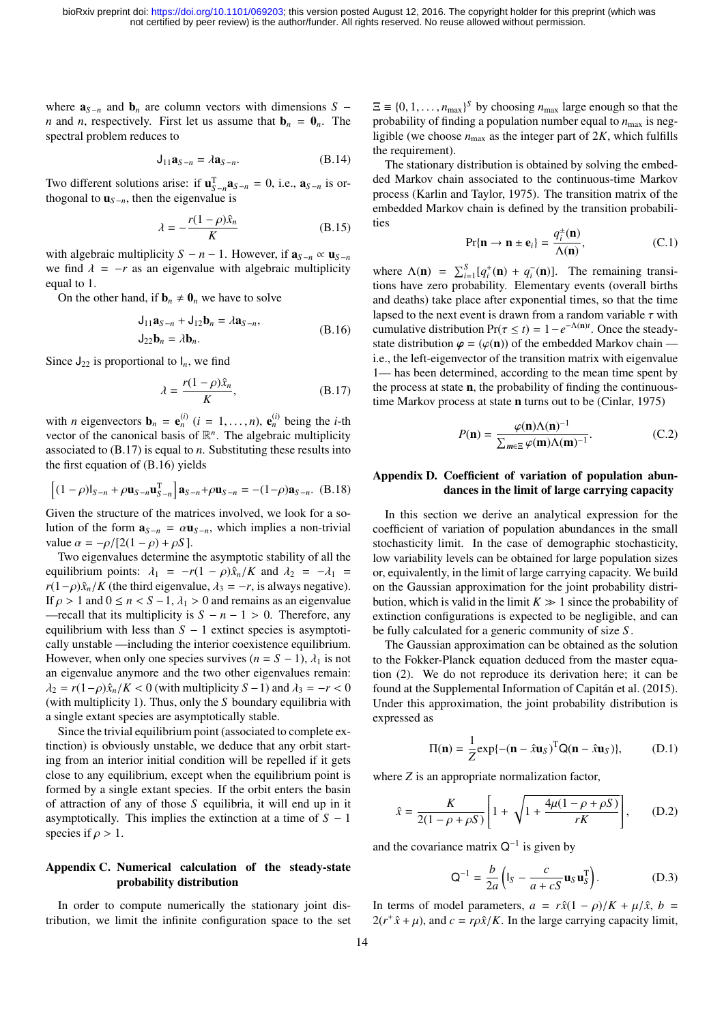where  $\mathbf{a}_{S-n}$  and  $\mathbf{b}_n$  are column vectors with dimensions *S* − *n* and *n*, respectively. First let us assume that  $\mathbf{b}_n = \mathbf{0}_n$ . The spectral problem reduces to

$$
\mathsf{J}_{11}\mathbf{a}_{S-n} = \lambda \mathbf{a}_{S-n}.\tag{B.14}
$$

Two different solutions arise: if  $\mathbf{u}_{S-n}^T \mathbf{a}_{S-n} = 0$ , i.e.,  $\mathbf{a}_{S-n}$  is orthogonal to  $\mathbf{u}_{s-n}$ , then the eigenvalue is

$$
\lambda = -\frac{r(1-\rho)\hat{x}_n}{K} \tag{B.15}
$$

with algebraic multiplicity *S* − *n* − 1. However, if  $\mathbf{a}_{S-n} \propto \mathbf{u}_{S-n}$ we find  $\lambda = -r$  as an eigenvalue with algebraic multiplicity equal to 1.

On the other hand, if  $\mathbf{b}_n \neq \mathbf{0}_n$  we have to solve

$$
\mathbf{J}_{11}\mathbf{a}_{S-n} + \mathbf{J}_{12}\mathbf{b}_n = \lambda \mathbf{a}_{S-n},
$$
  
\n
$$
\mathbf{J}_{22}\mathbf{b}_n = \lambda \mathbf{b}_n.
$$
\n(B.16)

Since  $J_{22}$  is proportional to  $I_n$ , we find

$$
\lambda = \frac{r(1 - \rho)\hat{x}_n}{K},
$$
 (B.17)

with *n* eigenvectors  $\mathbf{b}_n = \mathbf{e}_n^{(i)}$   $(i = 1, ..., n)$ ,  $\mathbf{e}_n^{(i)}$  being the *i*-th vector of the canonical basis of  $\mathbb{R}^n$ . The algebraic multiplicity vector of the canonical basis of  $\mathbb{R}^n$ . The algebraic multiplicity associated to (B.17) is equal to *n*. Substituting these results into the first equation of (B.16) yields

$$
\left[ (1 - \rho) I_{S-n} + \rho \mathbf{u}_{S-n} \mathbf{u}_{S-n}^{\mathrm{T}} \right] \mathbf{a}_{S-n} + \rho \mathbf{u}_{S-n} = -(1 - \rho) \mathbf{a}_{S-n}. \quad (B.18)
$$

Given the structure of the matrices involved, we look for a solution of the form  $\mathbf{a}_{S-n} = \alpha \mathbf{u}_{S-n}$ , which implies a non-trivial value  $\alpha = -\rho/[2(1-\rho) + \rho S]$ .

Two eigenvalues determine the asymptotic stability of all the equilibrium points:  $\lambda_1 = -r(1 - \rho)\hat{x}_n/K$  and  $\lambda_2 = -\lambda_1 =$  $r(1-\rho)\hat{x}_n/K$  (the third eigenvalue,  $\lambda_3 = -r$ , is always negative). If  $\rho > 1$  and  $0 \le n < S - 1$ ,  $\lambda_1 > 0$  and remains as an eigenvalue —recall that its multiplicity is  $S - n - 1 > 0$ . Therefore, any equilibrium with less than *S* − 1 extinct species is asymptotically unstable —including the interior coexistence equilibrium. However, when only one species survives ( $n = S - 1$ ),  $\lambda_1$  is not an eigenvalue anymore and the two other eigenvalues remain:  $\lambda_2 = r(1-\rho)\hat{x}_n/K < 0$  (with multiplicity *S* − 1) and  $\lambda_3 = -r < 0$ (with multiplicity 1). Thus, only the *S* boundary equilibria with a single extant species are asymptotically stable.

Since the trivial equilibrium point (associated to complete extinction) is obviously unstable, we deduce that any orbit starting from an interior initial condition will be repelled if it gets close to any equilibrium, except when the equilibrium point is formed by a single extant species. If the orbit enters the basin of attraction of any of those *S* equilibria, it will end up in it asymptotically. This implies the extinction at a time of  $S - 1$ species if  $\rho > 1$ .

# Appendix C. Numerical calculation of the steady-state probability distribution

In order to compute numerically the stationary joint distribution, we limit the infinite configuration space to the set

 $\Xi \equiv \{0, 1, \ldots, n_{\text{max}}\}^S$  by choosing  $n_{\text{max}}$  large enough so that the probability of finding a population number equal to  $n_{\text{max}}$  is negprobability of finding a population number equal to  $n_{\text{max}}$  is negligible (we choose  $n_{\text{max}}$  as the integer part of  $2K$ , which fulfills the requirement).

The stationary distribution is obtained by solving the embedded Markov chain associated to the continuous-time Markov process (Karlin and Taylor, 1975). The transition matrix of the embedded Markov chain is defined by the transition probabilities

$$
\Pr\{\mathbf{n} \to \mathbf{n} \pm \mathbf{e}_i\} = \frac{q_i^{\pm}(\mathbf{n})}{\Lambda(\mathbf{n})},\tag{C.1}
$$

where  $\Lambda(\mathbf{n}) = \sum_{i=1}^{S} [q_i^+(\mathbf{n}) + q_i^-(\mathbf{n})]$ . The remaining transitions have zero probability. Elementary events (overall births and deaths) take place after exponential times, so that the time lapsed to the next event is drawn from a random variable  $\tau$  with cumulative distribution  $Pr(\tau \le t) = 1 - e^{-\Lambda(n)t}$ . Once the steady-<br>state distribution  $\varphi = (\varphi(n))$  of the embedded Markov chain state distribution  $\varphi = (\varphi(n))$  of the embedded Markov chain i.e., the left-eigenvector of the transition matrix with eigenvalue 1— has been determined, according to the mean time spent by the process at state n, the probability of finding the continuoustime Markov process at state n turns out to be (Cinlar, 1975)

$$
P(\mathbf{n}) = \frac{\varphi(\mathbf{n})\Lambda(\mathbf{n})^{-1}}{\sum_{m \in \Xi} \varphi(\mathbf{m})\Lambda(\mathbf{m})^{-1}}.
$$
 (C.2)

# Appendix D. Coefficient of variation of population abundances in the limit of large carrying capacity

In this section we derive an analytical expression for the coefficient of variation of population abundances in the small stochasticity limit. In the case of demographic stochasticity, low variability levels can be obtained for large population sizes or, equivalently, in the limit of large carrying capacity. We build on the Gaussian approximation for the joint probability distribution, which is valid in the limit  $K \gg 1$  since the probability of extinction configurations is expected to be negligible, and can be fully calculated for a generic community of size *S* .

The Gaussian approximation can be obtained as the solution to the Fokker-Planck equation deduced from the master equation (2). We do not reproduce its derivation here; it can be found at the Supplemental Information of Capitán et al. (2015). Under this approximation, the joint probability distribution is expressed as

$$
\Pi(\mathbf{n}) = \frac{1}{Z} \exp\{-(\mathbf{n} - \hat{x}\mathbf{u}_S)^T \mathbf{Q}(\mathbf{n} - \hat{x}\mathbf{u}_S)\},\tag{D.1}
$$

where *Z* is an appropriate normalization factor,

$$
\hat{x} = \frac{K}{2(1 - \rho + \rho S)} \left[ 1 + \sqrt{1 + \frac{4\mu(1 - \rho + \rho S)}{rK}} \right],
$$
 (D.2)

and the covariance matrix  $Q^{-1}$  is given by

$$
\mathbf{Q}^{-1} = \frac{b}{2a} \left( \mathbf{I}_S - \frac{c}{a + cS} \mathbf{u}_S \mathbf{u}_S^{\mathrm{T}} \right). \tag{D.3}
$$

In terms of model parameters,  $a = r\hat{x}(1 - \rho)/K + \mu/\hat{x}$ ,  $b =$  $2(r^+\hat{x} + \mu)$ , and  $c = r\rho\hat{x}/K$ . In the large carrying capacity limit,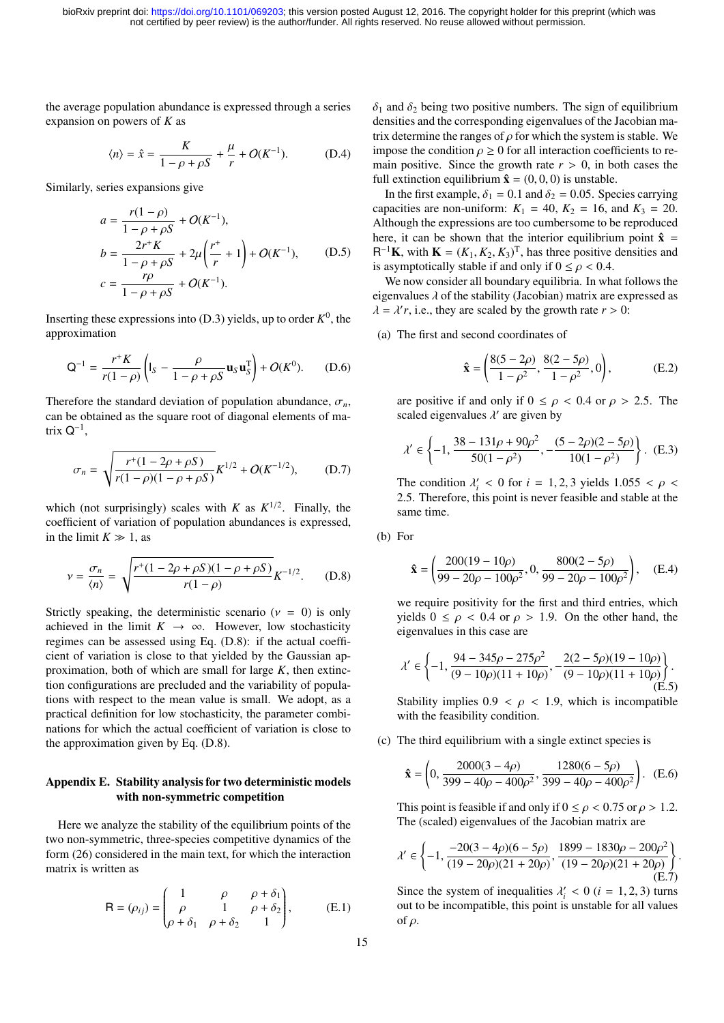the average population abundance is expressed through a series expansion on powers of *K* as

$$
\langle n \rangle = \hat{x} = \frac{K}{1 - \rho + \rho S} + \frac{\mu}{r} + O(K^{-1}).
$$
 (D.4)

Similarly, series expansions give

$$
a = \frac{r(1-\rho)}{1-\rho+\rho S} + O(K^{-1}),
$$
  
\n
$$
b = \frac{2r^{+}K}{1-\rho+\rho S} + 2\mu\left(\frac{r^{+}}{r} + 1\right) + O(K^{-1}),
$$
 (D.5)  
\n
$$
c = \frac{r\rho}{1-\rho+\rho S} + O(K^{-1}).
$$

Inserting these expressions into  $(D.3)$  yields, up to order  $K^0$ , the approximation

$$
Q^{-1} = \frac{r^+ K}{r(1-\rho)} \left( I_S - \frac{\rho}{1-\rho+\rho S} \mathbf{u}_S \mathbf{u}_S^T \right) + O(K^0). \tag{D.6}
$$

Therefore the standard deviation of population abundance,  $\sigma_n$ , can be obtained as the square root of diagonal elements of matrix  $Q^{-1}$ ,

$$
\sigma_n = \sqrt{\frac{r^+(1 - 2\rho + \rho S)}{r(1 - \rho)(1 - \rho + \rho S)}} K^{1/2} + O(K^{-1/2}), \quad (D.7)
$$

which (not surprisingly) scales with *K* as  $K^{1/2}$ . Finally, the coefficient of variation of population abundances is expressed, in the limit  $K \gg 1$ , as

$$
\nu = \frac{\sigma_n}{\langle n \rangle} = \sqrt{\frac{r^+(1 - 2\rho + \rho S)(1 - \rho + \rho S)}{r(1 - \rho)}} K^{-1/2}.
$$
 (D.8)

Strictly speaking, the deterministic scenario ( $v = 0$ ) is only achieved in the limit  $K \to \infty$ . However, low stochasticity regimes can be assessed using Eq. (D.8): if the actual coefficient of variation is close to that yielded by the Gaussian approximation, both of which are small for large *K*, then extinction configurations are precluded and the variability of populations with respect to the mean value is small. We adopt, as a practical definition for low stochasticity, the parameter combinations for which the actual coefficient of variation is close to the approximation given by Eq. (D.8).

## Appendix E. Stability analysis for two deterministic models with non-symmetric competition

Here we analyze the stability of the equilibrium points of the two non-symmetric, three-species competitive dynamics of the form (26) considered in the main text, for which the interaction matrix is written as

$$
\mathsf{R} = (\rho_{ij}) = \begin{pmatrix} 1 & \rho & \rho + \delta_1 \\ \rho & 1 & \rho + \delta_2 \\ \rho + \delta_1 & \rho + \delta_2 & 1 \end{pmatrix}, \tag{E.1}
$$

 $\delta_1$  and  $\delta_2$  being two positive numbers. The sign of equilibrium densities and the corresponding eigenvalues of the Jacobian matrix determine the ranges of  $\rho$  for which the system is stable. We impose the condition  $\rho \geq 0$  for all interaction coefficients to remain positive. Since the growth rate  $r > 0$ , in both cases the full extinction equilibrium  $\hat{\mathbf{x}} = (0, 0, 0)$  is unstable.

In the first example,  $\delta_1 = 0.1$  and  $\delta_2 = 0.05$ . Species carrying capacities are non-uniform:  $K_1 = 40, K_2 = 16,$  and  $K_3 = 20$ . Although the expressions are too cumbersome to be reproduced here, it can be shown that the interior equilibrium point  $\hat{x}$  =  $R^{-1}$ **K**, with **K** =  $(K_1, K_2, K_3)^T$ , has three positive densities and<br>is asymptotically stable if and only if  $0 \le \alpha \le 0.4$ is asymptotically stable if and only if  $0 \le \rho < 0.4$ .

We now consider all boundary equilibria. In what follows the eigenvalues  $\lambda$  of the stability (Jacobian) matrix are expressed as  $\lambda = \lambda' r$ , i.e., they are scaled by the growth rate  $r > 0$ :

(a) The first and second coordinates of

$$
\hat{\mathbf{x}} = \left(\frac{8(5-2\rho)}{1-\rho^2}, \frac{8(2-5\rho)}{1-\rho^2}, 0\right),\tag{E.2}
$$

are positive if and only if  $0 \le \rho < 0.4$  or  $\rho > 2.5$ . The scaled eigenvalues  $\lambda'$  are given by

$$
\lambda' \in \left\{-1, \frac{38 - 131\rho + 90\rho^2}{50(1 - \rho^2)}, -\frac{(5 - 2\rho)(2 - 5\rho)}{10(1 - \rho^2)}\right\}.
$$
 (E.3)

The condition  $\lambda'_i < 0$  for  $i = 1, 2, 3$  yields  $1.055 < \rho <$ <br>2.5. Therefore, this point is never feasible and stable at the <sup>2</sup>.5. Therefore, this point is never feasible and stable at the same time.

$$
(b) For
$$

$$
\hat{\mathbf{x}} = \left(\frac{200(19 - 10\rho)}{99 - 20\rho - 100\rho^2}, 0, \frac{800(2 - 5\rho)}{99 - 20\rho - 100\rho^2}\right), \quad (E.4)
$$

we require positivity for the first and third entries, which yields  $0 \le \rho < 0.4$  or  $\rho > 1.9$ . On the other hand, the eigenvalues in this case are

$$
\lambda' \in \left\{-1, \frac{94 - 345\rho - 275\rho^2}{(9 - 10\rho)(11 + 10\rho)}, -\frac{2(2 - 5\rho)(19 - 10\rho)}{(9 - 10\rho)(11 + 10\rho)}\right\}.
$$
\n(E.5)

Stability implies  $0.9 < \rho < 1.9$ , which is incompatible with the feasibility condition.

(c) The third equilibrium with a single extinct species is

$$
\hat{\mathbf{x}} = \left(0, \frac{2000(3 - 4\rho)}{399 - 40\rho - 400\rho^2}, \frac{1280(6 - 5\rho)}{399 - 40\rho - 400\rho^2}\right). \quad (E.6)
$$

This point is feasible if and only if  $0 \le \rho < 0.75$  or  $\rho > 1.2$ . The (scaled) eigenvalues of the Jacobian matrix are

$$
\lambda' \in \left\{-1, \frac{-20(3-4\rho)(6-5\rho)}{(19-20\rho)(21+20\rho)}, \frac{1899-1830\rho-200\rho^2}{(19-20\rho)(21+20\rho)}\right\}.
$$
\n(E.7)

Since the system of inequalities  $\lambda_i^j < 0$  ( $i = 1, 2, 3$ ) turns out to be incompatible this point is unstable for all values out to be incompatible, this point is unstable for all values of ρ.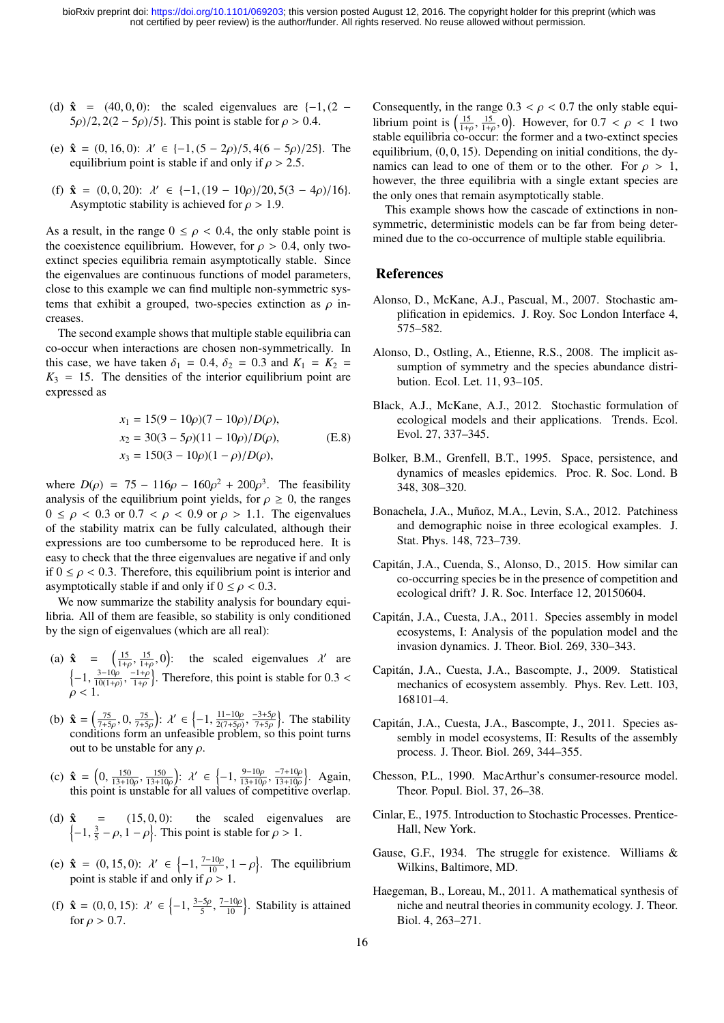- (d)  $\hat{\mathbf{x}}$  = (40, 0, 0): the scaled eigenvalues are {-1, (2  $(5\rho)/2$ ,  $2(2 - 5\rho)/5$ . This point is stable for  $\rho > 0.4$ .
- (e)  $\hat{\mathbf{x}} = (0, 16, 0)$ :  $\lambda' \in \{-1, (5 2\rho)/5, 4(6 5\rho)/25\}$ . The equilibrium point is stable if and only if  $\rho > 2.5$ equilibrium point is stable if and only if  $\rho > 2.5$ .
- (f)  $\hat{\mathbf{x}} = (0, 0, 20)$ :  $\lambda' \in \{-1, (19 10\rho)/20, 5(3 4\rho)/16\}$ .<br>Asymptotic stability is achieved for  $\rho > 1.9$ Asymptotic stability is achieved for  $\rho > 1.9$ .

As a result, in the range  $0 \le \rho < 0.4$ , the only stable point is the coexistence equilibrium. However, for  $\rho > 0.4$ , only twoextinct species equilibria remain asymptotically stable. Since the eigenvalues are continuous functions of model parameters, close to this example we can find multiple non-symmetric systems that exhibit a grouped, two-species extinction as  $\rho$  increases.

The second example shows that multiple stable equilibria can co-occur when interactions are chosen non-symmetrically. In this case, we have taken  $\delta_1 = 0.4$ ,  $\delta_2 = 0.3$  and  $K_1 = K_2 =$  $K_3 = 15$ . The densities of the interior equilibrium point are expressed as

$$
x_1 = 15(9 - 10\rho)(7 - 10\rho)/D(\rho),
$$
  
\n
$$
x_2 = 30(3 - 5\rho)(11 - 10\rho)/D(\rho),
$$
  
\n
$$
x_3 = 150(3 - 10\rho)(1 - \rho)/D(\rho),
$$
  
\n(E.8)

where  $D(\rho) = 75 - 116\rho - 160\rho^2 + 200\rho^3$ . The feasibility<br>analysis of the equilibrium point yields for  $\rho > 0$ , the ranges analysis of the equilibrium point yields, for  $\rho \geq 0$ , the ranges  $0 \leq \rho < 0.3$  or  $0.7 < \rho < 0.9$  or  $\rho > 1.1$ . The eigenvalues of the stability matrix can be fully calculated, although their expressions are too cumbersome to be reproduced here. It is easy to check that the three eigenvalues are negative if and only if  $0 \le \rho < 0.3$ . Therefore, this equilibrium point is interior and asymptotically stable if and only if  $0 \le \rho < 0.3$ .

We now summarize the stability analysis for boundary equilibria. All of them are feasible, so stability is only conditioned by the sign of eigenvalues (which are all real):

- (a)  $\hat{\mathbf{x}} = \begin{pmatrix} \frac{15}{1+\rho}, \\ 0, \\ 0, \\ 0, \frac{3-10\rho}{\rho} \end{pmatrix}$  $\frac{15}{1+\rho}$ , 0): the scaled eigenvalues  $\lambda'$  are  $\left\{-1, \frac{3-10\rho}{10(1+\rho)}\right\}$  $\frac{3-10\rho}{10(1+\rho)}, \frac{-1+\rho}{1+\rho}$  $1+\rho$  $\}$ . Therefore, this point is stable for 0.3 <  $\rho < 1.$
- (b)  $\hat{\mathbf{x}} = \left(\frac{75}{7+5\rho}, 0, \frac{75}{7+5\rho}\right)$ :  $\lambda' \in \left\{-1, \frac{11-10\rho}{2(7+5\rho)}\right\}$ <br>n unfeasible probl  $2(7+5\rho)$ conditions form an unfeasible problem, so this point turns  $\frac{-3+5\rho}{7+5\rho}$  $7+5\rho$ <br>1 sc }. The stability out to be unstable for any  $\rho$ .
- (c)  $\hat{\mathbf{x}} = \left(0, \frac{150}{13+10\rho}, \frac{150}{13+10\rho}\right)$  $\frac{150}{13+10\rho}$ table :  $\lambda' \in \left\{-1, \frac{9-10\rho}{13+10\rho}\right\}$  $\frac{9-10\rho}{13+10\rho}$ ,  $\frac{-7+10\rho}{13+10\rho}$ <br>of competitive  $13+10\rho$ o . Again, this point is unstable for all values of competitive overlap.
- (d)  $\hat{\mathbf{x}} = (15, 0, 0)$ : the scaled eigenvalues are  $\{-1, \frac{3}{2} \rho, 1 \rho\}$ . This point is stable for  $\rho > 1$ .  $-1, \frac{3}{5} - \rho, 1 - \rho$ . This point is stable for  $\rho > 1$ .
- (e)  $\hat{\mathbf{x}} = (0, 15, 0): \lambda' \in \{-1, \frac{7-10\rho}{10}, 1-\rho\}.$  The equilibrium point is stable if and only if  $\rho > 1$ point is stable if and only if  $\rho > 1$ .
- (f)  $\hat{\mathbf{x}} = (0, 0, 15)$ :  $\lambda' \in \{-1, \frac{3-5\rho}{5}, \frac{7-10\rho}{10}\}$ . Stability is attained for  $\rho > 0.7$ for  $\rho > 0.7$ .

Consequently, in the range  $0.3 < \rho < 0.7$  the only stable equilibrium point is  $\left(\frac{15}{1+\rho}, \frac{15}{1+\rho}, 0\right)$ . However, for  $0.7 < \rho < 1$  two stable equilibria co-occur: the former and a two-extinct species  $1+\rho$ ,  $1+\rho$ ,  $\lambda$ ,  $\lambda$ ,  $\lambda$ ,  $\lambda$ ,  $\lambda$ ,  $\lambda$ ,  $\lambda$ ,  $\lambda$ ,  $\lambda$ ,  $\lambda$ ,  $\lambda$ ,  $\lambda$ ,  $\lambda$ ,  $\lambda$ ,  $\lambda$ ,  $\lambda$ ,  $\lambda$ ,  $\lambda$ ,  $\lambda$ ,  $\lambda$ ,  $\lambda$ ,  $\lambda$ ,  $\lambda$ ,  $\lambda$ ,  $\lambda$ ,  $\lambda$ ,  $\lambda$ ,  $\lambda$ ,  $\lambda$ ,  $\lambda$ ,  $\lambda$ ,  $\lambda$ ,  $\lambda$ ,  $\lambda$ ,  $\lambda$ equilibrium,  $(0, 0, 15)$ . Depending on initial conditions, the dynamics can lead to one of them or to the other. For  $\rho > 1$ , however, the three equilibria with a single extant species are the only ones that remain asymptotically stable.

This example shows how the cascade of extinctions in nonsymmetric, deterministic models can be far from being determined due to the co-occurrence of multiple stable equilibria.

# References

- Alonso, D., McKane, A.J., Pascual, M., 2007. Stochastic amplification in epidemics. J. Roy. Soc London Interface 4, 575–582.
- Alonso, D., Ostling, A., Etienne, R.S., 2008. The implicit assumption of symmetry and the species abundance distribution. Ecol. Let. 11, 93–105.
- Black, A.J., McKane, A.J., 2012. Stochastic formulation of ecological models and their applications. Trends. Ecol. Evol. 27, 337–345.
- Bolker, B.M., Grenfell, B.T., 1995. Space, persistence, and dynamics of measles epidemics. Proc. R. Soc. Lond. B 348, 308–320.
- Bonachela, J.A., Muñoz, M.A., Levin, S.A., 2012. Patchiness and demographic noise in three ecological examples. J. Stat. Phys. 148, 723–739.
- Capitan, J.A., Cuenda, S., Alonso, D., 2015. How similar can ´ co-occurring species be in the presence of competition and ecological drift? J. R. Soc. Interface 12, 20150604.
- Capitan, J.A., Cuesta, J.A., 2011. Species assembly in model ´ ecosystems, I: Analysis of the population model and the invasion dynamics. J. Theor. Biol. 269, 330–343.
- Capitan, J.A., Cuesta, J.A., Bascompte, J., 2009. Statistical ´ mechanics of ecosystem assembly. Phys. Rev. Lett. 103, 168101–4.
- Capitan, J.A., Cuesta, J.A., Bascompte, J., 2011. Species as- ´ sembly in model ecosystems, II: Results of the assembly process. J. Theor. Biol. 269, 344–355.
- Chesson, P.L., 1990. MacArthur's consumer-resource model. Theor. Popul. Biol. 37, 26–38.
- Cinlar, E., 1975. Introduction to Stochastic Processes. Prentice-Hall, New York.
- Gause, G.F., 1934. The struggle for existence. Williams & Wilkins, Baltimore, MD.
- Haegeman, B., Loreau, M., 2011. A mathematical synthesis of niche and neutral theories in community ecology. J. Theor. Biol. 4, 263–271.